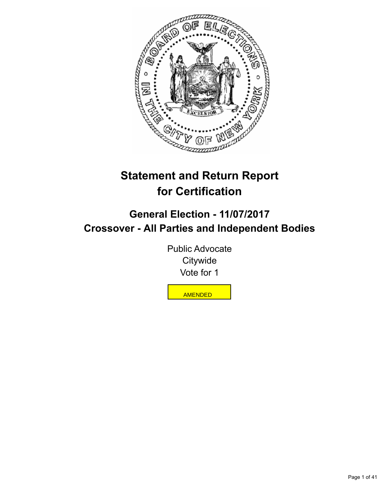

# **Statement and Return Report for Certification**

# **General Election - 11/07/2017 Crossover - All Parties and Independent Bodies**

Public Advocate **Citywide** Vote for 1

AMENDED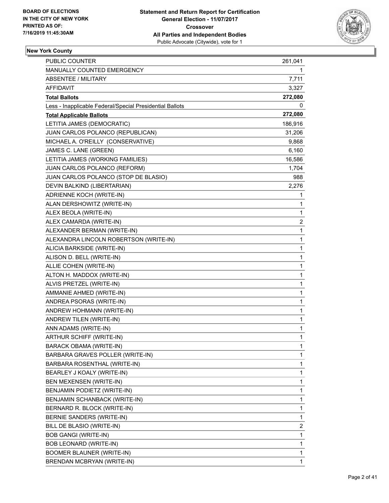

| <b>PUBLIC COUNTER</b>                                    | 261,041        |
|----------------------------------------------------------|----------------|
| MANUALLY COUNTED EMERGENCY                               | 1              |
| <b>ABSENTEE / MILITARY</b>                               | 7,711          |
| <b>AFFIDAVIT</b>                                         | 3,327          |
| <b>Total Ballots</b>                                     | 272,080        |
| Less - Inapplicable Federal/Special Presidential Ballots | 0              |
| <b>Total Applicable Ballots</b>                          | 272,080        |
| LETITIA JAMES (DEMOCRATIC)                               | 186,916        |
| JUAN CARLOS POLANCO (REPUBLICAN)                         | 31,206         |
| MICHAEL A. O'REILLY (CONSERVATIVE)                       | 9,868          |
| JAMES C. LANE (GREEN)                                    | 6,160          |
| LETITIA JAMES (WORKING FAMILIES)                         | 16,586         |
| JUAN CARLOS POLANCO (REFORM)                             | 1,704          |
| JUAN CARLOS POLANCO (STOP DE BLASIO)                     | 988            |
| DEVIN BALKIND (LIBERTARIAN)                              | 2,276          |
| ADRIENNE KOCH (WRITE-IN)                                 | 1              |
| ALAN DERSHOWITZ (WRITE-IN)                               | 1              |
| ALEX BEOLA (WRITE-IN)                                    | 1              |
| ALEX CAMARDA (WRITE-IN)                                  | 2              |
| ALEXANDER BERMAN (WRITE-IN)                              | 1              |
| ALEXANDRA LINCOLN ROBERTSON (WRITE-IN)                   | 1              |
| ALICIA BARKSIDE (WRITE-IN)                               | 1              |
| ALISON D. BELL (WRITE-IN)                                | 1              |
| ALLIE COHEN (WRITE-IN)                                   | 1              |
| ALTON H. MADDOX (WRITE-IN)                               | 1              |
| ALVIS PRETZEL (WRITE-IN)                                 | 1              |
| AMMANIE AHMED (WRITE-IN)                                 | 1              |
| ANDREA PSORAS (WRITE-IN)                                 | 1              |
| ANDREW HOHMANN (WRITE-IN)                                | 1              |
| ANDREW TILEN (WRITE-IN)                                  | 1              |
| ANN ADAMS (WRITE-IN)                                     | 1              |
| ARTHUR SCHIFF (WRITE-IN)                                 | 1              |
| <b>BARACK OBAMA (WRITE-IN)</b>                           | 1              |
| BARBARA GRAVES POLLER (WRITE-IN)                         | 1              |
| BARBARA ROSENTHAL (WRITE-IN)                             | 1              |
| BEARLEY J KOALY (WRITE-IN)                               | 1              |
| BEN MEXENSEN (WRITE-IN)                                  | 1              |
| BENJAMIN PODIETZ (WRITE-IN)                              | 1              |
| BENJAMIN SCHANBACK (WRITE-IN)                            | 1              |
| BERNARD R. BLOCK (WRITE-IN)                              | 1              |
| BERNIE SANDERS (WRITE-IN)                                | 1              |
| BILL DE BLASIO (WRITE-IN)                                | $\overline{2}$ |
| <b>BOB GANGI (WRITE-IN)</b>                              | 1              |
| BOB LEONARD (WRITE-IN)                                   | 1              |
| <b>BOOMER BLAUNER (WRITE-IN)</b>                         | 1              |
| BRENDAN MCBRYAN (WRITE-IN)                               | 1              |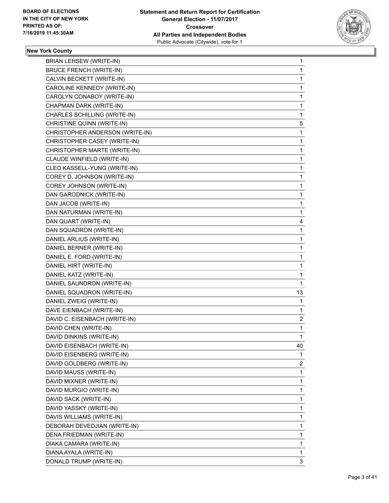

| <b>BRIAN LEHSEW (WRITE-IN)</b>  | $\mathbf{1}$   |
|---------------------------------|----------------|
| <b>BRUCE FRENCH (WRITE-IN)</b>  | 1              |
| CALVIN BECKETT (WRITE-IN)       | $\mathbf{1}$   |
| CAROLINE KENNEDY (WRITE-IN)     | 1              |
| CAROLYN CONABOY (WRITE-IN)      | 1              |
| CHAPMAN DARK (WRITE-IN)         | 1              |
| CHARLES SCHILLING (WRITE-IN)    | 1              |
| CHRISTINE QUINN (WRITE-IN)      | 5              |
| CHRISTOPHER ANDERSON (WRITE-IN) | $\mathbf{1}$   |
| CHRISTOPHER CASEY (WRITE-IN)    | 1              |
| CHRISTOPHER MARTE (WRITE-IN)    | 1              |
| CLAUDE WINFIELD (WRITE-IN)      | 1              |
| CLEO KASSELL-YUNG (WRITE-IN)    | 1              |
| COREY D. JOHNSON (WRITE-IN)     | 1              |
| COREY JOHNSON (WRITE-IN)        | $\mathbf{1}$   |
| DAN GARODNICK (WRITE-IN)        | 1              |
| DAN JACOB (WRITE-IN)            | 1              |
| DAN NATURMAN (WRITE-IN)         | 1              |
| DAN QUART (WRITE-IN)            | 4              |
| DAN SQUADRON (WRITE-IN)         | 1              |
| DANIEL ARLIUS (WRITE-IN)        | $\mathbf{1}$   |
| DANIEL BERNER (WRITE-IN)        | 1              |
| DANIEL E. FORD (WRITE-IN)       | 1              |
| DANIEL HIRT (WRITE-IN)          | 1              |
| DANIEL KATZ (WRITE-IN)          | 1              |
| DANIEL SAUNDRON (WRITE-IN)      | 1              |
| DANIEL SQUADRON (WRITE-IN)      | 13             |
| DANIEL ZWEIG (WRITE-IN)         | 1              |
| DAVE EIENBACH (WRITE-IN)        | 1              |
| DAVID C. EISENBACH (WRITE-IN)   | $\overline{c}$ |
| DAVID CHEN (WRITE-IN)           | 1              |
| DAVID DINKINS (WRITE-IN)        | 1              |
| DAVID EISENBACH (WRITE-IN)      | 40             |
| DAVID EISENBERG (WRITE-IN)      | 1              |
| DAVID GOLDBERG (WRITE-IN)       | 2              |
| DAVID MAUSS (WRITE-IN)          | 1              |
| DAVID MIXNER (WRITE-IN)         | 1              |
| DAVID MURGIO (WRITE-IN)         | 1              |
| DAVID SACK (WRITE-IN)           | 1              |
| DAVID YASSKY (WRITE-IN)         | 1              |
| DAVIS WILLIAMS (WRITE-IN)       | 1              |
| DEBORAH DEVEDJIAN (WRITE-IN)    | 1              |
| DENA FRIEDMAN (WRITE-IN)        | 1              |
| DIAKA CAMARA (WRITE-IN)         | 1              |
| DIANA AYALA (WRITE-IN)          | 1              |
| DONALD TRUMP (WRITE-IN)         | 3              |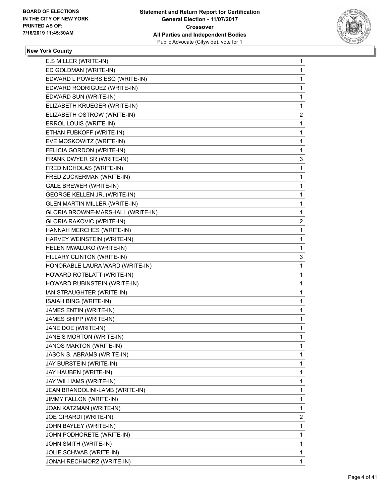

| 1              |
|----------------|
| 1              |
| 1              |
| 1              |
| 1              |
| 1              |
| $\overline{2}$ |
| 1              |
| $\mathbf{1}$   |
| 1              |
| 1              |
| 3              |
| 1              |
| 1              |
| $\mathbf{1}$   |
| 1              |
| 1              |
| 1              |
| $\overline{2}$ |
| 1              |
| $\mathbf{1}$   |
| 1              |
| 3              |
| 1              |
| 1              |
| 1              |
| 1              |
| 1              |
| 1              |
| $\mathbf{1}$   |
| 1              |
| 1              |
| 1              |
| 1              |
| 1              |
| 1              |
| 1              |
| 1              |
| 1              |
|                |
| 1              |
| 2              |
| 1              |
| 1              |
| 1              |
| 1              |
|                |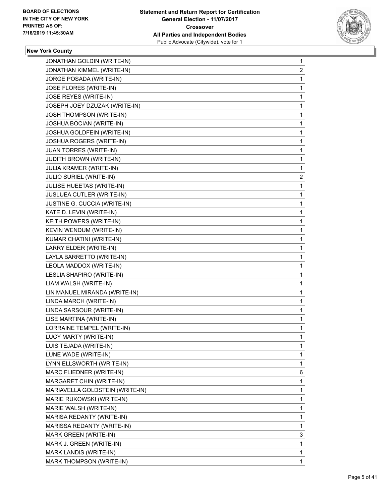

| 1 |
|---|
| 2 |
| 1 |
| 1 |
| 1 |
| 1 |
| 1 |
| 1 |
| 1 |
| 1 |
| 1 |
| 1 |
| 1 |
| 2 |
| 1 |
| 1 |
| 1 |
| 1 |
| 1 |
| 1 |
| 1 |
| 1 |
| 1 |
| 1 |
| 1 |
| 1 |
| 1 |
| 1 |
| 1 |
| 1 |
| 1 |
| 1 |
| 1 |
| 1 |
| 1 |
| 6 |
| 1 |
| 1 |
| 1 |
| 1 |
| 1 |
| 1 |
| 3 |
| 1 |
| 1 |
| 1 |
|   |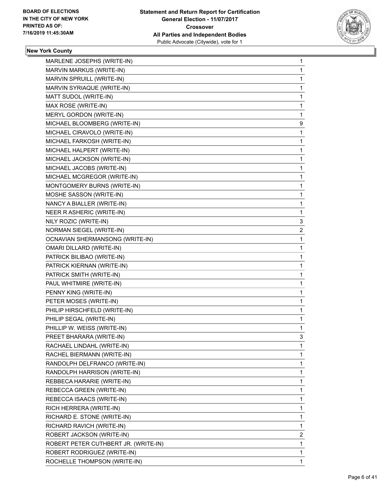

| MARLENE JOSEPHS (WRITE-IN)             | 1              |
|----------------------------------------|----------------|
| MARVIN MARKUS (WRITE-IN)               | 1              |
| MARVIN SPRUILL (WRITE-IN)              | 1              |
| MARVIN SYRIAQUE (WRITE-IN)             | 1              |
| MATT SUDOL (WRITE-IN)                  | 1              |
| MAX ROSE (WRITE-IN)                    | 1              |
| MERYL GORDON (WRITE-IN)                | 1              |
| MICHAEL BLOOMBERG (WRITE-IN)           | 9              |
| MICHAEL CIRAVOLO (WRITE-IN)            | 1              |
| MICHAEL FARKOSH (WRITE-IN)             | 1              |
| MICHAEL HALPERT (WRITE-IN)             | 1              |
| MICHAEL JACKSON (WRITE-IN)             | 1              |
| MICHAEL JACOBS (WRITE-IN)              | 1              |
| MICHAEL MCGREGOR (WRITE-IN)            | 1              |
| MONTGOMERY BURNS (WRITE-IN)            | 1              |
| MOSHE SASSON (WRITE-IN)                | 1              |
| NANCY A BIALLER (WRITE-IN)             | 1              |
| NEER R ASHERIC (WRITE-IN)              | 1              |
| NILY ROZIC (WRITE-IN)                  | 3              |
| NORMAN SIEGEL (WRITE-IN)               | $\overline{c}$ |
| <b>OCNAVIAN SHERMANSONG (WRITE-IN)</b> | 1              |
| OMARI DILLARD (WRITE-IN)               | 1              |
| PATRICK BILIBAO (WRITE-IN)             | 1              |
| PATRICK KIERNAN (WRITE-IN)             | 1              |
| PATRICK SMITH (WRITE-IN)               | 1              |
| PAUL WHITMIRE (WRITE-IN)               | 1              |
| PENNY KING (WRITE-IN)                  | 1              |
| PETER MOSES (WRITE-IN)                 | 1              |
| PHILIP HIRSCHFELD (WRITE-IN)           | 1              |
| PHILIP SEGAL (WRITE-IN)                | 1              |
| PHILLIP W. WEISS (WRITE-IN)            | 1              |
| PREET BHARARA (WRITE-IN)               | 3              |
| RACHAEL LINDAHL (WRITE-IN)             | 1              |
| RACHEL BIERMANN (WRITE-IN)             | 1              |
| RANDOLPH DELFRANCO (WRITE-IN)          | 1              |
| RANDOLPH HARRISON (WRITE-IN)           | 1              |
| REBBECA HARARIE (WRITE-IN)             | 1              |
| REBECCA GREEN (WRITE-IN)               | 1              |
| REBECCA ISAACS (WRITE-IN)              | 1              |
| RICH HERRERA (WRITE-IN)                | 1              |
| RICHARD E. STONE (WRITE-IN)            | 1              |
| RICHARD RAVICH (WRITE-IN)              | 1              |
| ROBERT JACKSON (WRITE-IN)              | $\overline{2}$ |
| ROBERT PETER CUTHBERT JR. (WRITE-IN)   | 1              |
| ROBERT RODRIGUEZ (WRITE-IN)            | 1              |
| ROCHELLE THOMPSON (WRITE-IN)           | 1              |
|                                        |                |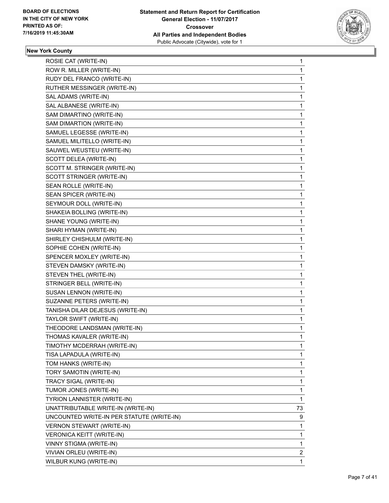

| ROSIE CAT (WRITE-IN)                      | 1            |
|-------------------------------------------|--------------|
| ROW R. MILLER (WRITE-IN)                  | $\mathbf{1}$ |
| RUDY DEL FRANCO (WRITE-IN)                | 1            |
| RUTHER MESSINGER (WRITE-IN)               | $\mathbf{1}$ |
| SAL ADAMS (WRITE-IN)                      | 1            |
| SAL ALBANESE (WRITE-IN)                   | 1            |
| SAM DIMARTINO (WRITE-IN)                  | $\mathbf{1}$ |
| SAM DIMARTION (WRITE-IN)                  | 1            |
| SAMUEL LEGESSE (WRITE-IN)                 | 1            |
| SAMUEL MILITELLO (WRITE-IN)               | $\mathbf{1}$ |
| SAUWEL WEUSTEU (WRITE-IN)                 | 1            |
| SCOTT DELEA (WRITE-IN)                    | 1            |
| SCOTT M. STRINGER (WRITE-IN)              | $\mathbf{1}$ |
| SCOTT STRINGER (WRITE-IN)                 | 1            |
| SEAN ROLLE (WRITE-IN)                     | 1            |
| SEAN SPICER (WRITE-IN)                    | $\mathbf{1}$ |
| SEYMOUR DOLL (WRITE-IN)                   | 1            |
| SHAKEIA BOLLING (WRITE-IN)                | 1            |
| SHANE YOUNG (WRITE-IN)                    | $\mathbf{1}$ |
| SHARI HYMAN (WRITE-IN)                    | 1            |
| SHIRLEY CHISHULM (WRITE-IN)               | 1            |
| SOPHIE COHEN (WRITE-IN)                   | $\mathbf{1}$ |
| SPENCER MOXLEY (WRITE-IN)                 | 1            |
| STEVEN DAMSKY (WRITE-IN)                  | 1            |
| STEVEN THEL (WRITE-IN)                    | $\mathbf{1}$ |
| STRINGER BELL (WRITE-IN)                  | 1            |
| SUSAN LENNON (WRITE-IN)                   | 1            |
| SUZANNE PETERS (WRITE-IN)                 | $\mathbf{1}$ |
| TANISHA DILAR DEJESUS (WRITE-IN)          | 1            |
| TAYLOR SWIFT (WRITE-IN)                   | 1            |
| THEODORE LANDSMAN (WRITE-IN)              | 1            |
| THOMAS KAVALER (WRITE-IN)                 | 1            |
| TIMOTHY MCDERRAH (WRITE-IN)               | 1            |
| TISA LAPADULA (WRITE-IN)                  | 1            |
| TOM HANKS (WRITE-IN)                      | 1            |
| TORY SAMOTIN (WRITE-IN)                   | 1            |
| TRACY SIGAL (WRITE-IN)                    | 1            |
| TUMOR JONES (WRITE-IN)                    | 1            |
| <b>TYRION LANNISTER (WRITE-IN)</b>        | 1            |
| UNATTRIBUTABLE WRITE-IN (WRITE-IN)        | 73           |
| UNCOUNTED WRITE-IN PER STATUTE (WRITE-IN) | 9            |
| VERNON STEWART (WRITE-IN)                 | 1            |
| VERONICA KEITT (WRITE-IN)                 | 1            |
| VINNY STIGMA (WRITE-IN)                   | 1            |
| VIVIAN ORLEU (WRITE-IN)                   | 2            |
| WILBUR KUNG (WRITE-IN)                    | 1            |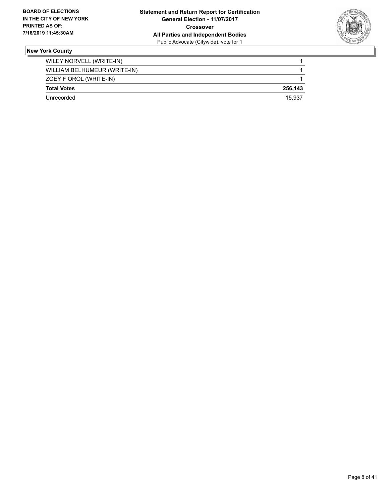

| Unrecorded                   | 15.937  |
|------------------------------|---------|
| <b>Total Votes</b>           | 256.143 |
| ZOEY F OROL (WRITE-IN)       |         |
| WILLIAM BELHUMEUR (WRITE-IN) |         |
| WILEY NORVELL (WRITE-IN)     |         |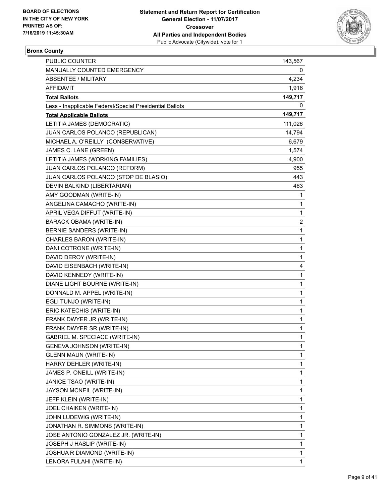

# **Bronx County**

| PUBLIC COUNTER                                           | 143,567 |
|----------------------------------------------------------|---------|
| MANUALLY COUNTED EMERGENCY                               | 0       |
| <b>ABSENTEE / MILITARY</b>                               | 4,234   |
| AFFIDAVIT                                                | 1,916   |
| <b>Total Ballots</b>                                     | 149,717 |
| Less - Inapplicable Federal/Special Presidential Ballots | 0       |
| <b>Total Applicable Ballots</b>                          | 149,717 |
| LETITIA JAMES (DEMOCRATIC)                               | 111,026 |
| JUAN CARLOS POLANCO (REPUBLICAN)                         | 14,794  |
| MICHAEL A. O'REILLY (CONSERVATIVE)                       | 6,679   |
| JAMES C. LANE (GREEN)                                    | 1,574   |
| LETITIA JAMES (WORKING FAMILIES)                         | 4,900   |
| JUAN CARLOS POLANCO (REFORM)                             | 955     |
| JUAN CARLOS POLANCO (STOP DE BLASIO)                     | 443     |
| DEVIN BALKIND (LIBERTARIAN)                              | 463     |
| AMY GOODMAN (WRITE-IN)                                   | 1       |
| ANGELINA CAMACHO (WRITE-IN)                              | 1       |
| APRIL VEGA DIFFUT (WRITE-IN)                             | 1       |
| <b>BARACK OBAMA (WRITE-IN)</b>                           | 2       |
| BERNIE SANDERS (WRITE-IN)                                | 1       |
| CHARLES BARON (WRITE-IN)                                 | 1       |
| DANI COTRONE (WRITE-IN)                                  | 1       |
| DAVID DEROY (WRITE-IN)                                   | 1       |
| DAVID EISENBACH (WRITE-IN)                               | 4       |
| DAVID KENNEDY (WRITE-IN)                                 | 1       |
| DIANE LIGHT BOURNE (WRITE-IN)                            | 1       |
| DONNALD M. APPEL (WRITE-IN)                              | 1       |
| EGLI TUNJO (WRITE-IN)                                    | 1       |
| ERIC KATECHIS (WRITE-IN)                                 | 1       |
| FRANK DWYER JR (WRITE-IN)                                | 1       |
| FRANK DWYER SR (WRITE-IN)                                | 1       |
| <b>GABRIEL M. SPECIACE (WRITE-IN)</b>                    | 1       |
| GENEVA JOHNSON (WRITE-IN)                                | 1       |
| <b>GLENN MAUN (WRITE-IN)</b>                             | 1       |
| HARRY DEHLER (WRITE-IN)                                  | 1       |
| JAMES P. ONEILL (WRITE-IN)                               | 1       |
| JANICE TSAO (WRITE-IN)                                   | 1       |
| JAYSON MCNEIL (WRITE-IN)                                 | 1       |
| JEFF KLEIN (WRITE-IN)                                    | 1       |
| JOEL CHAIKEN (WRITE-IN)                                  | 1       |
| JOHN LUDEWIG (WRITE-IN)                                  | 1       |
| JONATHAN R. SIMMONS (WRITE-IN)                           | 1       |
| JOSE ANTONIO GONZALEZ JR. (WRITE-IN)                     | 1       |
| JOSEPH J HASLIP (WRITE-IN)                               | 1       |
| JOSHUA R DIAMOND (WRITE-IN)                              | 1       |
| LENORA FULAHI (WRITE-IN)                                 | 1       |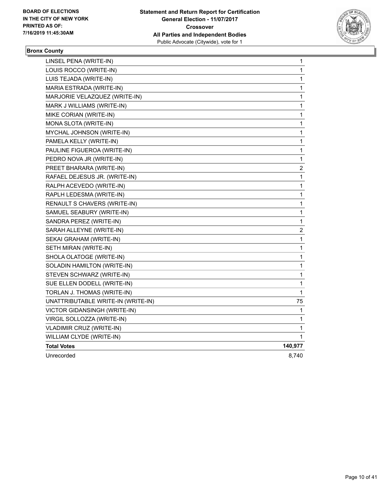

# **Bronx County**

| LINSEL PENA (WRITE-IN)             | 1                       |
|------------------------------------|-------------------------|
| LOUIS ROCCO (WRITE-IN)             | 1                       |
| LUIS TEJADA (WRITE-IN)             | 1                       |
| MARIA ESTRADA (WRITE-IN)           | 1                       |
| MARJORIE VELAZQUEZ (WRITE-IN)      | 1                       |
| MARK J WILLIAMS (WRITE-IN)         | 1                       |
| MIKE CORIAN (WRITE-IN)             | 1                       |
| MONA SLOTA (WRITE-IN)              | 1                       |
| MYCHAL JOHNSON (WRITE-IN)          | 1                       |
| PAMELA KELLY (WRITE-IN)            | 1                       |
| PAULINE FIGUEROA (WRITE-IN)        | 1                       |
| PEDRO NOVA JR (WRITE-IN)           | 1                       |
| PREET BHARARA (WRITE-IN)           | $\overline{\mathbf{c}}$ |
| RAFAEL DEJESUS JR. (WRITE-IN)      | 1                       |
| RALPH ACEVEDO (WRITE-IN)           | 1                       |
| RAPLH LEDESMA (WRITE-IN)           | 1                       |
| RENAULT S CHAVERS (WRITE-IN)       | 1                       |
| SAMUEL SEABURY (WRITE-IN)          | 1                       |
| SANDRA PEREZ (WRITE-IN)            | 1                       |
| SARAH ALLEYNE (WRITE-IN)           | 2                       |
| SEKAI GRAHAM (WRITE-IN)            | 1                       |
| SETH MIRAN (WRITE-IN)              | 1                       |
| SHOLA OLATOGE (WRITE-IN)           | 1                       |
| SOLADIN HAMILTON (WRITE-IN)        | 1                       |
| STEVEN SCHWARZ (WRITE-IN)          | 1                       |
| SUE ELLEN DODELL (WRITE-IN)        | 1                       |
| TORLAN J. THOMAS (WRITE-IN)        | 1                       |
| UNATTRIBUTABLE WRITE-IN (WRITE-IN) | 75                      |
| VICTOR GIDANSINGH (WRITE-IN)       | 1                       |
| VIRGIL SOLLOZZA (WRITE-IN)         | 1                       |
| <b>VLADIMIR CRUZ (WRITE-IN)</b>    | 1                       |
| WILLIAM CLYDE (WRITE-IN)           | 1                       |
| <b>Total Votes</b>                 | 140,977                 |
| Unrecorded                         | 8,740                   |
|                                    |                         |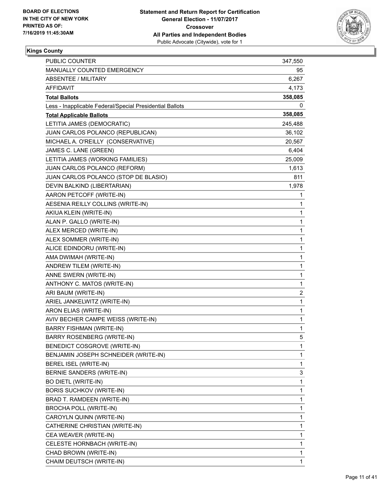

| PUBLIC COUNTER                                           | 347,550 |
|----------------------------------------------------------|---------|
| MANUALLY COUNTED EMERGENCY                               | 95      |
| ABSENTEE / MILITARY                                      | 6,267   |
| AFFIDAVIT                                                | 4,173   |
| <b>Total Ballots</b>                                     | 358,085 |
| Less - Inapplicable Federal/Special Presidential Ballots | 0       |
| <b>Total Applicable Ballots</b>                          | 358,085 |
| LETITIA JAMES (DEMOCRATIC)                               | 245,488 |
| JUAN CARLOS POLANCO (REPUBLICAN)                         | 36,102  |
| MICHAEL A. O'REILLY (CONSERVATIVE)                       | 20,567  |
| JAMES C. LANE (GREEN)                                    | 6,404   |
| LETITIA JAMES (WORKING FAMILIES)                         | 25,009  |
| JUAN CARLOS POLANCO (REFORM)                             | 1,613   |
| JUAN CARLOS POLANCO (STOP DE BLASIO)                     | 811     |
| DEVIN BALKIND (LIBERTARIAN)                              | 1,978   |
| AARON PETCOFF (WRITE-IN)                                 | 1       |
| AESENIA REILLY COLLINS (WRITE-IN)                        | 1       |
| AKIUA KLEIN (WRITE-IN)                                   | 1       |
| ALAN P. GALLO (WRITE-IN)                                 | 1       |
| ALEX MERCED (WRITE-IN)                                   | 1       |
| ALEX SOMMER (WRITE-IN)                                   | 1       |
| ALICE EDINDORU (WRITE-IN)                                | 1       |
| AMA DWIMAH (WRITE-IN)                                    | 1       |
| ANDREW TILEM (WRITE-IN)                                  | 1       |
| ANNE SWERN (WRITE-IN)                                    | 1       |
| ANTHONY C. MATOS (WRITE-IN)                              | 1       |
| ARI BAUM (WRITE-IN)                                      | 2       |
| ARIEL JANKELWITZ (WRITE-IN)                              | 1       |
| ARON ELIAS (WRITE-IN)                                    | 1       |
| AVIV BECHER CAMPE WEISS (WRITE-IN)                       | 1       |
| <b>BARRY FISHMAN (WRITE-IN)</b>                          | 1       |
| <b>BARRY ROSENBERG (WRITE-IN)</b>                        | 5       |
| BENEDICT COSGROVE (WRITE-IN)                             | 1       |
| BENJAMIN JOSEPH SCHNEIDER (WRITE-IN)                     | 1       |
| BEREL ISEL (WRITE-IN)                                    | 1       |
| BERNIE SANDERS (WRITE-IN)                                | 3       |
| <b>BO DIETL (WRITE-IN)</b>                               | 1       |
| BORIS SUCHKOV (WRITE-IN)                                 | 1       |
| BRAD T. RAMDEEN (WRITE-IN)                               | 1       |
| BROCHA POLL (WRITE-IN)                                   | 1       |
| CAROYLN QUINN (WRITE-IN)                                 | 1       |
| CATHERINE CHRISTIAN (WRITE-IN)                           | 1       |
| CEA WEAVER (WRITE-IN)                                    | 1       |
| CELESTE HORNBACH (WRITE-IN)                              | 1       |
| CHAD BROWN (WRITE-IN)                                    | 1       |
| CHAIM DEUTSCH (WRITE-IN)                                 | 1       |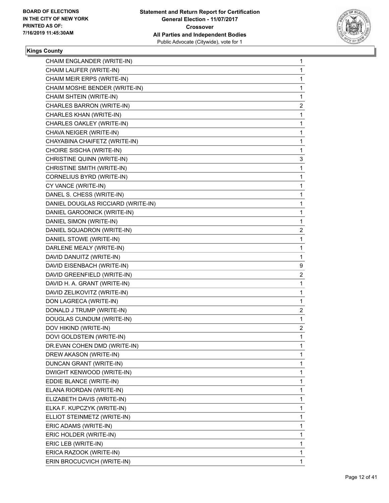

| 1 |
|---|
| 1 |
| 1 |
| 1 |
| 1 |
| 2 |
| 1 |
| 1 |
| 1 |
| 1 |
| 1 |
| 3 |
| 1 |
| 1 |
| 1 |
| 1 |
| 1 |
| 1 |
| 1 |
| 2 |
| 1 |
| 1 |
| 1 |
| 9 |
| 2 |
| 1 |
| 1 |
| 1 |
| 2 |
| 1 |
| 2 |
| 1 |
| 1 |
| 1 |
| 1 |
| 1 |
| 1 |
| 1 |
| 1 |
| 1 |
| 1 |
| 1 |
|   |
| 1 |
| 1 |
| 1 |
|   |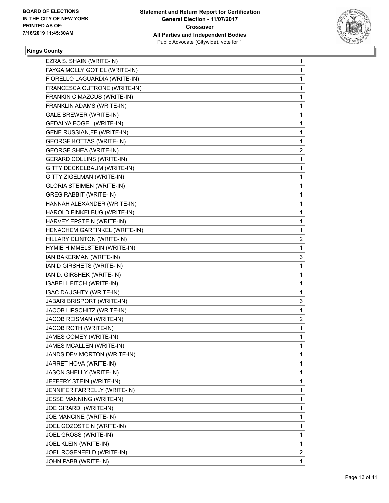

| EZRA S. SHAIN (WRITE-IN)         | 1                       |
|----------------------------------|-------------------------|
| FAYGA MOLLY GOTIEL (WRITE-IN)    | 1                       |
| FIORELLO LAGUARDIA (WRITE-IN)    | 1                       |
| FRANCESCA CUTRONE (WRITE-IN)     | 1                       |
| FRANKIN C MAZCUS (WRITE-IN)      | 1                       |
| FRANKLIN ADAMS (WRITE-IN)        | 1                       |
| GALE BREWER (WRITE-IN)           | 1                       |
| GEDALYA FOGEL (WRITE-IN)         | 1                       |
| GENE RUSSIAN, FF (WRITE-IN)      | 1                       |
| <b>GEORGE KOTTAS (WRITE-IN)</b>  | 1                       |
| <b>GEORGE SHEA (WRITE-IN)</b>    | 2                       |
| <b>GERARD COLLINS (WRITE-IN)</b> | 1                       |
| GITTY DECKELBAUM (WRITE-IN)      | 1                       |
| GITTY ZIGELMAN (WRITE-IN)        | 1                       |
| <b>GLORIA STEIMEN (WRITE-IN)</b> | 1                       |
| <b>GREG RABBIT (WRITE-IN)</b>    | 1                       |
| HANNAH ALEXANDER (WRITE-IN)      | 1                       |
| HAROLD FINKELBUG (WRITE-IN)      | 1                       |
| HARVEY EPSTEIN (WRITE-IN)        | 1                       |
| HENACHEM GARFINKEL (WRITE-IN)    | 1                       |
| HILLARY CLINTON (WRITE-IN)       | $\overline{\mathbf{c}}$ |
| HYMIE HIMMELSTEIN (WRITE-IN)     | 1                       |
| IAN BAKERMAN (WRITE-IN)          | 3                       |
| IAN D GIRSHETS (WRITE-IN)        | 1                       |
| IAN D. GIRSHEK (WRITE-IN)        | 1                       |
| ISABELL FITCH (WRITE-IN)         | 1                       |
| ISAC DAUGHTY (WRITE-IN)          | 1                       |
| JABARI BRISPORT (WRITE-IN)       | 3                       |
| JACOB LIPSCHITZ (WRITE-IN)       | 1                       |
| JACOB REISMAN (WRITE-IN)         | $\overline{c}$          |
| JACOB ROTH (WRITE-IN)            | 1                       |
| JAMES COMEY (WRITE-IN)           | 1                       |
| JAMES MCALLEN (WRITE-IN)         | 1                       |
| JANDS DEV MORTON (WRITE-IN)      | 1                       |
| JARRET HOVA (WRITE-IN)           | 1                       |
| JASON SHELLY (WRITE-IN)          | 1                       |
| JEFFERY STEIN (WRITE-IN)         | 1                       |
| JENNIFER FARRELLY (WRITE-IN)     | 1                       |
| JESSE MANNING (WRITE-IN)         | 1                       |
| JOE GIRARDI (WRITE-IN)           | 1                       |
| JOE MANCINE (WRITE-IN)           | 1                       |
| JOEL GOZOSTEIN (WRITE-IN)        | 1                       |
| JOEL GROSS (WRITE-IN)            | 1                       |
| JOEL KLEIN (WRITE-IN)            | 1                       |
| JOEL ROSENFELD (WRITE-IN)        | $\overline{2}$          |
| JOHN PABB (WRITE-IN)             | $\mathbf{1}$            |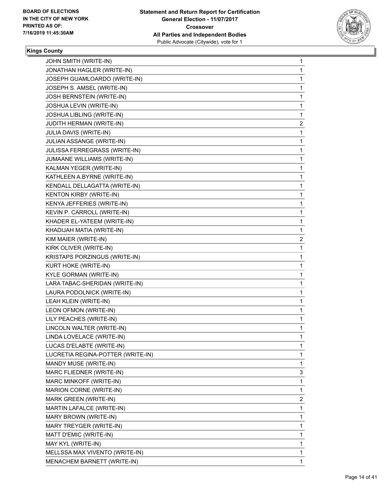

| JOHN SMITH (WRITE-IN)             | 1 |
|-----------------------------------|---|
| JONATHAN HAGLER (WRITE-IN)        | 1 |
| JOSEPH GUAMLOARDO (WRITE-IN)      | 1 |
| JOSEPH S. AMSEL (WRITE-IN)        | 1 |
| JOSH BERNSTEIN (WRITE-IN)         | 1 |
| JOSHUA LEVIN (WRITE-IN)           | 1 |
| JOSHUA LIBLING (WRITE-IN)         | 1 |
| JUDITH HERMAN (WRITE-IN)          | 2 |
| JULIA DAVIS (WRITE-IN)            | 1 |
| JULIAN ASSANGE (WRITE-IN)         | 1 |
| JULISSA FERREGRASS (WRITE-IN)     | 1 |
| JUMAANE WILLIAMS (WRITE-IN)       | 1 |
| KALMAN YEGER (WRITE-IN)           | 1 |
| KATHLEEN A.BYRNE (WRITE-IN)       | 1 |
| KENDALL DELLAGATTA (WRITE-IN)     | 1 |
| KENTON KIRBY (WRITE-IN)           | 1 |
| KENYA JEFFERIES (WRITE-IN)        | 1 |
| KEVIN P. CARROLL (WRITE-IN)       | 1 |
| KHADER EL-YATEEM (WRITE-IN)       | 1 |
| KHADIJAH MATIA (WRITE-IN)         | 1 |
| KIM MAIER (WRITE-IN)              | 2 |
| KIRK OLIVER (WRITE-IN)            | 1 |
| KRISTAPS PORZINGUS (WRITE-IN)     | 1 |
| KURT HOKE (WRITE-IN)              | 1 |
| KYLE GORMAN (WRITE-IN)            | 1 |
| LARA TABAC-SHERIDAN (WRITE-IN)    | 1 |
| LAURA PODOLNICK (WRITE-IN)        | 1 |
| LEAH KLEIN (WRITE-IN)             | 1 |
| LEON OFMON (WRITE-IN)             | 1 |
| LILY PEACHES (WRITE-IN)           | 1 |
| LINCOLN WALTER (WRITE-IN)         | 1 |
| LINDA LOVELACE (WRITE-IN)         | 1 |
| LUCAS D'ELABTE (WRITE-IN)         | 1 |
| LUCRETIA REGINA-POTTER (WRITE-IN) | 1 |
| MANDY MUSE (WRITE-IN)             | 1 |
| MARC FLIEDNER (WRITE-IN)          | 3 |
| MARC MINKOFF (WRITE-IN)           | 1 |
| MARION CORNE (WRITE-IN)           | 1 |
| MARK GREEN (WRITE-IN)             | 2 |
| MARTIN LAFALCE (WRITE-IN)         | 1 |
| MARY BROWN (WRITE-IN)             | 1 |
| MARY TREYGER (WRITE-IN)           | 1 |
| MATT D'EMIC (WRITE-IN)            | 1 |
| MAY KYL (WRITE-IN)                | 1 |
| MELLSSA MAX VIVENTO (WRITE-IN)    | 1 |
| MENACHEM BARNETT (WRITE-IN)       | 1 |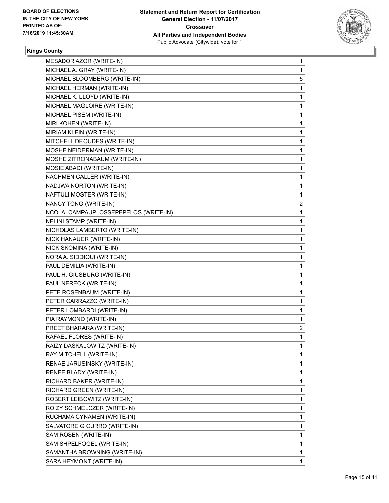

| MESADOR AZOR (WRITE-IN)               | 1              |
|---------------------------------------|----------------|
| MICHAEL A. GRAY (WRITE-IN)            | 1              |
| MICHAEL BLOOMBERG (WRITE-IN)          | 5              |
| MICHAEL HERMAN (WRITE-IN)             | 1              |
| MICHAEL K. LLOYD (WRITE-IN)           | 1              |
| MICHAEL MAGLOIRE (WRITE-IN)           | 1              |
| MICHAEL PISEM (WRITE-IN)              | 1              |
| MIRI KOHEN (WRITE-IN)                 | 1              |
| MIRIAM KLEIN (WRITE-IN)               | 1              |
| MITCHELL DEOUDES (WRITE-IN)           | 1              |
| MOSHE NEIDERMAN (WRITE-IN)            | 1              |
| MOSHE ZITRONABAUM (WRITE-IN)          | 1              |
| MOSIE ABADI (WRITE-IN)                | 1              |
| NACHMEN CALLER (WRITE-IN)             | 1              |
| NADJWA NORTON (WRITE-IN)              | 1              |
| NAFTULI MOSTER (WRITE-IN)             | 1              |
| NANCY TONG (WRITE-IN)                 | 2              |
| NCOLAI CAMPAUPLOSSEPEPELOS (WRITE-IN) | 1              |
| <b>NELINI STAMP (WRITE-IN)</b>        | 1              |
| NICHOLAS LAMBERTO (WRITE-IN)          | 1              |
| NICK HANAUER (WRITE-IN)               | 1              |
| NICK SKOMINA (WRITE-IN)               | 1              |
| NORA A. SIDDIQUI (WRITE-IN)           | 1              |
| PAUL DEMILIA (WRITE-IN)               | 1              |
| PAUL H. GIUSBURG (WRITE-IN)           | 1              |
| PAUL NERECK (WRITE-IN)                | 1              |
| PETE ROSENBAUM (WRITE-IN)             | 1              |
| PETER CARRAZZO (WRITE-IN)             | 1              |
| PETER LOMBARDI (WRITE-IN)             | 1              |
| PIA RAYMOND (WRITE-IN)                | 1              |
| PREET BHARARA (WRITE-IN)              | $\overline{c}$ |
| RAFAEL FLORES (WRITE-IN)              | 1              |
| RAIZY DASKALOWITZ (WRITE-IN)          | 1              |
| RAY MITCHELL (WRITE-IN)               | 1              |
| RENAE JARUSINSKY (WRITE-IN)           | 1              |
| RENEE BLADY (WRITE-IN)                | 1              |
| RICHARD BAKER (WRITE-IN)              | 1              |
| RICHARD GREEN (WRITE-IN)              | 1              |
| ROBERT LEIBOWITZ (WRITE-IN)           | 1              |
| ROIZY SCHMELCZER (WRITE-IN)           | 1              |
| RUCHAMA CYNAMEN (WRITE-IN)            | 1              |
| SALVATORE G CURRO (WRITE-IN)          | 1              |
| SAM ROSEN (WRITE-IN)                  | 1              |
| SAM SHPELFOGEL (WRITE-IN)             | 1              |
| SAMANTHA BROWNING (WRITE-IN)          | 1              |
| SARA HEYMONT (WRITE-IN)               | 1              |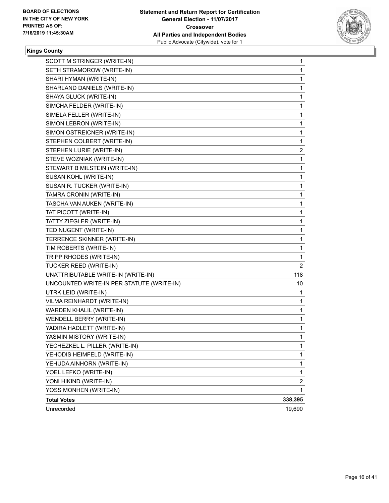

| SCOTT M STRINGER (WRITE-IN)               | 1                       |
|-------------------------------------------|-------------------------|
| SETH STRAMOROW (WRITE-IN)                 | 1                       |
| SHARI HYMAN (WRITE-IN)                    | 1                       |
| SHARLAND DANIELS (WRITE-IN)               | 1                       |
| SHAYA GLUCK (WRITE-IN)                    | 1                       |
| SIMCHA FELDER (WRITE-IN)                  | 1                       |
| SIMELA FELLER (WRITE-IN)                  | 1                       |
| SIMON LEBRON (WRITE-IN)                   | 1                       |
| SIMON OSTREICNER (WRITE-IN)               | 1                       |
| STEPHEN COLBERT (WRITE-IN)                | 1                       |
| STEPHEN LURIE (WRITE-IN)                  | 2                       |
| STEVE WOZNIAK (WRITE-IN)                  | 1                       |
| STEWART B MILSTEIN (WRITE-IN)             | 1                       |
| SUSAN KOHL (WRITE-IN)                     | 1                       |
| SUSAN R. TUCKER (WRITE-IN)                | 1                       |
| TAMRA CRONIN (WRITE-IN)                   | 1                       |
| TASCHA VAN AUKEN (WRITE-IN)               | 1                       |
| TAT PICOTT (WRITE-IN)                     | 1                       |
| TATTY ZIEGLER (WRITE-IN)                  | 1                       |
| TED NUGENT (WRITE-IN)                     | 1                       |
| TERRENCE SKINNER (WRITE-IN)               | 1                       |
| TIM ROBERTS (WRITE-IN)                    | 1                       |
| TRIPP RHODES (WRITE-IN)                   | 1                       |
| TUCKER REED (WRITE-IN)                    | $\overline{2}$          |
| UNATTRIBUTABLE WRITE-IN (WRITE-IN)        | 118                     |
| UNCOUNTED WRITE-IN PER STATUTE (WRITE-IN) | 10                      |
| UTRK LEID (WRITE-IN)                      | 1                       |
| VILMA REINHARDT (WRITE-IN)                | 1                       |
| WARDEN KHALIL (WRITE-IN)                  | 1                       |
| <b>WENDELL BERRY (WRITE-IN)</b>           | 1                       |
| YADIRA HADLETT (WRITE-IN)                 | 1                       |
| YASMIN MISTORY (WRITE-IN)                 | 1                       |
| YECHEZKEL L. PILLER (WRITE-IN)            | 1                       |
| YEHODIS HEIMFELD (WRITE-IN)               | 1                       |
| YEHUDA AINHORN (WRITE-IN)                 | 1                       |
| YOEL LEFKO (WRITE-IN)                     | 1                       |
| YONI HIKIND (WRITE-IN)                    | $\overline{\mathbf{c}}$ |
| YOSS MONHEN (WRITE-IN)                    | 1                       |
| <b>Total Votes</b>                        | 338,395                 |
| Unrecorded                                | 19,690                  |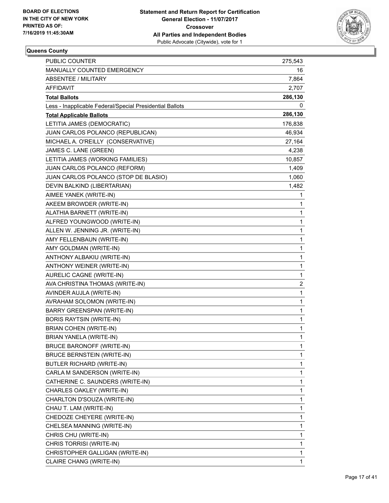

| PUBLIC COUNTER                                           | 275,543        |
|----------------------------------------------------------|----------------|
| MANUALLY COUNTED EMERGENCY                               | 16             |
| <b>ABSENTEE / MILITARY</b>                               | 7,864          |
| <b>AFFIDAVIT</b>                                         | 2,707          |
| <b>Total Ballots</b>                                     | 286,130        |
| Less - Inapplicable Federal/Special Presidential Ballots | 0              |
| <b>Total Applicable Ballots</b>                          | 286,130        |
| LETITIA JAMES (DEMOCRATIC)                               | 176,838        |
| JUAN CARLOS POLANCO (REPUBLICAN)                         | 46,934         |
| MICHAEL A. O'REILLY (CONSERVATIVE)                       | 27,164         |
| JAMES C. LANE (GREEN)                                    | 4,238          |
| LETITIA JAMES (WORKING FAMILIES)                         | 10,857         |
| JUAN CARLOS POLANCO (REFORM)                             | 1,409          |
| JUAN CARLOS POLANCO (STOP DE BLASIO)                     | 1,060          |
| DEVIN BALKIND (LIBERTARIAN)                              | 1,482          |
| AIMEE YANEK (WRITE-IN)                                   | 1              |
| AKEEM BROWDER (WRITE-IN)                                 | 1              |
| ALATHIA BARNETT (WRITE-IN)                               | 1              |
| ALFRED YOUNGWOOD (WRITE-IN)                              | 1              |
| ALLEN W. JENNING JR. (WRITE-IN)                          | 1              |
| AMY FELLENBAUN (WRITE-IN)                                | 1              |
| AMY GOLDMAN (WRITE-IN)                                   | 1              |
| ANTHONY ALBAKIU (WRITE-IN)                               | 1              |
| ANTHONY WEINER (WRITE-IN)                                | 1              |
| AURELIC CAGNE (WRITE-IN)                                 | 1              |
| AVA CHRISTINA THOMAS (WRITE-IN)                          | $\overline{c}$ |
| AVINDER AUJLA (WRITE-IN)                                 | 1              |
| AVRAHAM SOLOMON (WRITE-IN)                               | 1              |
| BARRY GREENSPAN (WRITE-IN)                               | 1              |
| <b>BORIS RAYTSIN (WRITE-IN)</b>                          | 1              |
| BRIAN COHEN (WRITE-IN)                                   | $\mathbf{1}$   |
| BRIAN YANELA (WRITE-IN)                                  | 1              |
| BRUCE BARONOFF (WRITE-IN)                                | 1              |
| <b>BRUCE BERNSTEIN (WRITE-IN)</b>                        | 1              |
| BUTLER RICHARD (WRITE-IN)                                | 1              |
| CARLA M SANDERSON (WRITE-IN)                             | 1              |
| CATHERINE C. SAUNDERS (WRITE-IN)                         | 1              |
| CHARLES OAKLEY (WRITE-IN)                                | 1              |
| CHARLTON D'SOUZA (WRITE-IN)                              | 1              |
| CHAU T. LAM (WRITE-IN)                                   | 1              |
| CHEDOZE CHEYERE (WRITE-IN)                               | 1              |
| CHELSEA MANNING (WRITE-IN)                               | 1              |
| CHRIS CHU (WRITE-IN)                                     | 1              |
| CHRIS TORRISI (WRITE-IN)                                 | 1              |
| CHRISTOPHER GALLIGAN (WRITE-IN)                          | 1              |
| CLAIRE CHANG (WRITE-IN)                                  | 1              |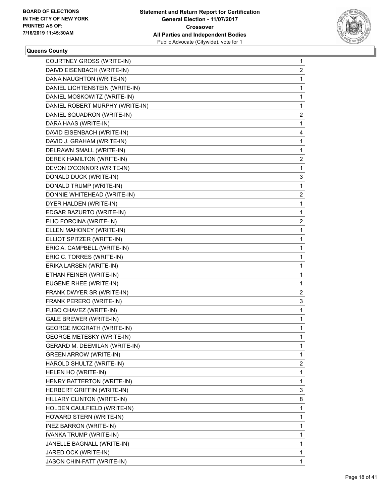

| COURTNEY GROSS (WRITE-IN)        | $\mathbf{1}$   |
|----------------------------------|----------------|
| DAIVD EISENBACH (WRITE-IN)       | $\overline{c}$ |
| DANA NAUGHTON (WRITE-IN)         | 1              |
| DANIEL LICHTENSTEIN (WRITE-IN)   | 1              |
| DANIEL MOSKOWITZ (WRITE-IN)      | 1              |
| DANIEL ROBERT MURPHY (WRITE-IN)  | 1              |
| DANIEL SQUADRON (WRITE-IN)       | $\overline{2}$ |
| DARA HAAS (WRITE-IN)             | 1              |
| DAVID EISENBACH (WRITE-IN)       | 4              |
| DAVID J. GRAHAM (WRITE-IN)       | $\mathbf{1}$   |
| DELRAWN SMALL (WRITE-IN)         | 1              |
| DEREK HAMILTON (WRITE-IN)        | $\overline{c}$ |
| DEVON O'CONNOR (WRITE-IN)        | 1              |
| DONALD DUCK (WRITE-IN)           | 3              |
| DONALD TRUMP (WRITE-IN)          | 1              |
| DONNIE WHITEHEAD (WRITE-IN)      | $\overline{2}$ |
| DYER HALDEN (WRITE-IN)           | 1              |
| EDGAR BAZURTO (WRITE-IN)         | 1              |
| ELIO FORCINA (WRITE-IN)          | $\overline{2}$ |
| ELLEN MAHONEY (WRITE-IN)         | 1              |
| ELLIOT SPITZER (WRITE-IN)        | $\mathbf{1}$   |
| ERIC A. CAMPBELL (WRITE-IN)      | 1              |
| ERIC C. TORRES (WRITE-IN)        | 1              |
| ERIKA LARSEN (WRITE-IN)          | 1              |
| ETHAN FEINER (WRITE-IN)          | 1              |
| EUGENE RHEE (WRITE-IN)           | 1              |
| FRANK DWYER SR (WRITE-IN)        | $\overline{c}$ |
| FRANK PERERO (WRITE-IN)          | 3              |
| FUBO CHAVEZ (WRITE-IN)           | 1              |
| GALE BREWER (WRITE-IN)           | 1              |
| <b>GEORGE MCGRATH (WRITE-IN)</b> | 1              |
| <b>GEORGE METESKY (WRITE-IN)</b> | 1              |
| GERARD M. DEEMILAN (WRITE-IN)    | 1              |
| <b>GREEN ARROW (WRITE-IN)</b>    | 1              |
| HAROLD SHULTZ (WRITE-IN)         | $\overline{c}$ |
| HELEN HO (WRITE-IN)              | 1              |
| HENRY BATTERTON (WRITE-IN)       | 1              |
| HERBERT GRIFFIN (WRITE-IN)       | 3              |
| HILLARY CLINTON (WRITE-IN)       | 8              |
| HOLDEN CAULFIELD (WRITE-IN)      | 1              |
| HOWARD STERN (WRITE-IN)          | 1              |
| <b>INEZ BARRON (WRITE-IN)</b>    | 1              |
| IVANKA TRUMP (WRITE-IN)          | 1              |
| JANELLE BAGNALL (WRITE-IN)       | 1              |
| JARED OCK (WRITE-IN)             | 1              |
| JASON CHIN-FATT (WRITE-IN)       | 1              |
|                                  |                |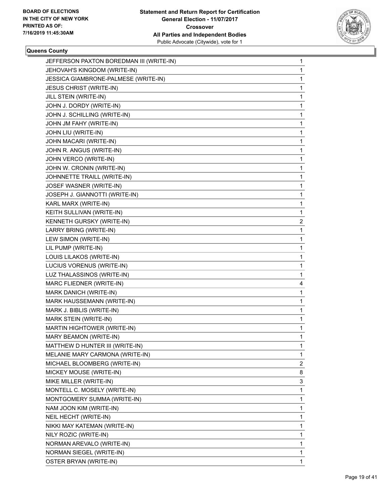

| JEFFERSON PAXTON BOREDMAN III (WRITE-IN) | $\mathbf{1}$ |
|------------------------------------------|--------------|
| JEHOVAH'S KINGDOM (WRITE-IN)             | 1            |
| JESSICA GIAMBRONE-PALMESE (WRITE-IN)     | $\mathbf 1$  |
| <b>JESUS CHRIST (WRITE-IN)</b>           | 1            |
| JILL STEIN (WRITE-IN)                    | 1            |
| JOHN J. DORDY (WRITE-IN)                 | 1            |
| JOHN J. SCHILLING (WRITE-IN)             | 1            |
| JOHN JM FAHY (WRITE-IN)                  | 1            |
| JOHN LIU (WRITE-IN)                      | 1            |
| JOHN MACARI (WRITE-IN)                   | 1            |
| JOHN R. ANGUS (WRITE-IN)                 | 1            |
| JOHN VERCO (WRITE-IN)                    | 1            |
| JOHN W. CRONIN (WRITE-IN)                | 1            |
| JOHNNETTE TRAILL (WRITE-IN)              | 1            |
| JOSEF WASNER (WRITE-IN)                  | 1            |
| JOSEPH J. GIANNOTTI (WRITE-IN)           | 1            |
| KARL MARX (WRITE-IN)                     | 1            |
| KEITH SULLIVAN (WRITE-IN)                | 1            |
| KENNETH GURSKY (WRITE-IN)                | 2            |
| LARRY BRING (WRITE-IN)                   | 1            |
| LEW SIMON (WRITE-IN)                     | 1            |
| LIL PUMP (WRITE-IN)                      | 1            |
| LOUIS LILAKOS (WRITE-IN)                 | 1            |
| LUCIUS VORENUS (WRITE-IN)                | 1            |
| LUZ THALASSINOS (WRITE-IN)               | 1            |
| MARC FLIEDNER (WRITE-IN)                 | 4            |
| MARK DANICH (WRITE-IN)                   | 1            |
| MARK HAUSSEMANN (WRITE-IN)               | 1            |
| MARK J. BIBLIS (WRITE-IN)                | 1            |
| MARK STEIN (WRITE-IN)                    | 1            |
| MARTIN HIGHTOWER (WRITE-IN)              | 1            |
| MARY BEAMON (WRITE-IN)                   | 1            |
| MATTHEW D HUNTER III (WRITE-IN)          | 1            |
| MELANIE MARY CARMONA (WRITE-IN)          | 1            |
| MICHAEL BLOOMBERG (WRITE-IN)             | 2            |
| MICKEY MOUSE (WRITE-IN)                  | 8            |
| MIKE MILLER (WRITE-IN)                   | 3            |
| MONTELL C. MOSELY (WRITE-IN)             | 1            |
| MONTGOMERY SUMMA (WRITE-IN)              | 1            |
| NAM JOON KIM (WRITE-IN)                  | 1            |
| NEIL HECHT (WRITE-IN)                    | 1            |
| NIKKI MAY KATEMAN (WRITE-IN)             | 1            |
| NILY ROZIC (WRITE-IN)                    | 1            |
| NORMAN AREVALO (WRITE-IN)                | 1            |
| NORMAN SIEGEL (WRITE-IN)                 | 1            |
| OSTER BRYAN (WRITE-IN)                   | 1            |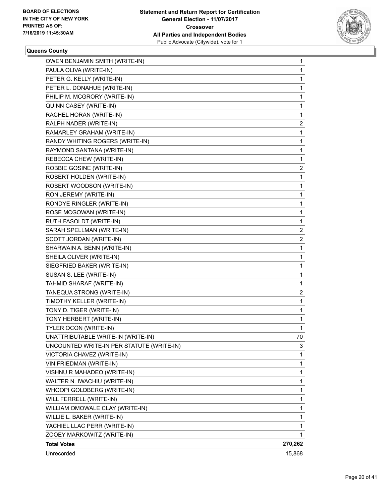

| OWEN BENJAMIN SMITH (WRITE-IN)            | 1              |
|-------------------------------------------|----------------|
| PAULA OLIVA (WRITE-IN)                    | 1              |
| PETER G. KELLY (WRITE-IN)                 | 1              |
| PETER L. DONAHUE (WRITE-IN)               | 1              |
| PHILIP M. MCGRORY (WRITE-IN)              | 1              |
| QUINN CASEY (WRITE-IN)                    | 1              |
| RACHEL HORAN (WRITE-IN)                   | 1              |
| RALPH NADER (WRITE-IN)                    | $\overline{c}$ |
| RAMARLEY GRAHAM (WRITE-IN)                | 1              |
| RANDY WHITING ROGERS (WRITE-IN)           | 1              |
| RAYMOND SANTANA (WRITE-IN)                | $\mathbf 1$    |
| REBECCA CHEW (WRITE-IN)                   | 1              |
| ROBBIE GOSINE (WRITE-IN)                  | 2              |
| ROBERT HOLDEN (WRITE-IN)                  | 1              |
| ROBERT WOODSON (WRITE-IN)                 | 1              |
| RON JEREMY (WRITE-IN)                     | 1              |
| RONDYE RINGLER (WRITE-IN)                 | 1              |
| ROSE MCGOWAN (WRITE-IN)                   | 1              |
| RUTH FASOLDT (WRITE-IN)                   | 1              |
| SARAH SPELLMAN (WRITE-IN)                 | $\overline{c}$ |
| SCOTT JORDAN (WRITE-IN)                   | 2              |
| SHARWAIN A. BENN (WRITE-IN)               | 1              |
| SHEILA OLIVER (WRITE-IN)                  | 1              |
| SIEGFRIED BAKER (WRITE-IN)                | 1              |
| SUSAN S. LEE (WRITE-IN)                   | 1              |
| TAHMID SHARAF (WRITE-IN)                  | 1              |
| TANEQUA STRONG (WRITE-IN)                 | 2              |
| TIMOTHY KELLER (WRITE-IN)                 | 1              |
| TONY D. TIGER (WRITE-IN)                  | 1              |
| TONY HERBERT (WRITE-IN)                   | 1              |
| TYLER OCON (WRITE-IN)                     | 1              |
| UNATTRIBUTABLE WRITE-IN (WRITE-IN)        | 70             |
| UNCOUNTED WRITE-IN PER STATUTE (WRITE-IN) | 3              |
| VICTORIA CHAVEZ (WRITE-IN)                | 1              |
| VIN FRIEDMAN (WRITE-IN)                   | 1              |
| VISHNU R MAHADEO (WRITE-IN)               | 1              |
| WALTER N. IWACHIU (WRITE-IN)              | 1              |
| WHOOPI GOLDBERG (WRITE-IN)                | 1              |
| WILL FERRELL (WRITE-IN)                   | 1              |
| WILLIAM OMOWALE CLAY (WRITE-IN)           | 1              |
| WILLIE L. BAKER (WRITE-IN)                | 1              |
| YACHIEL LLAC PERR (WRITE-IN)              | 1              |
| ZOOEY MARKOWITZ (WRITE-IN)                | 1              |
| <b>Total Votes</b>                        | 270,262        |
| Unrecorded                                | 15,868         |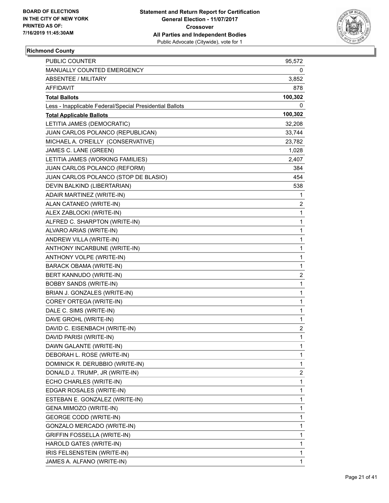

# **Richmond County**

| <b>PUBLIC COUNTER</b>                                    | 95,572       |
|----------------------------------------------------------|--------------|
| <b>MANUALLY COUNTED EMERGENCY</b>                        | 0            |
| ABSENTEE / MILITARY                                      | 3,852        |
| AFFIDAVIT                                                | 878          |
| <b>Total Ballots</b>                                     | 100,302      |
| Less - Inapplicable Federal/Special Presidential Ballots | 0            |
| <b>Total Applicable Ballots</b>                          | 100,302      |
| LETITIA JAMES (DEMOCRATIC)                               | 32,208       |
| JUAN CARLOS POLANCO (REPUBLICAN)                         | 33,744       |
| MICHAEL A. O'REILLY (CONSERVATIVE)                       | 23,782       |
| JAMES C. LANE (GREEN)                                    | 1,028        |
| LETITIA JAMES (WORKING FAMILIES)                         | 2,407        |
| JUAN CARLOS POLANCO (REFORM)                             | 384          |
| JUAN CARLOS POLANCO (STOP DE BLASIO)                     | 454          |
| DEVIN BALKIND (LIBERTARIAN)                              | 538          |
| ADAIR MARTINEZ (WRITE-IN)                                | 1            |
| ALAN CATANEO (WRITE-IN)                                  | 2            |
| ALEX ZABLOCKI (WRITE-IN)                                 | 1            |
| ALFRED C. SHARPTON (WRITE-IN)                            | $\mathbf{1}$ |
| ALVARO ARIAS (WRITE-IN)                                  | 1            |
| ANDREW VILLA (WRITE-IN)                                  | 1            |
| ANTHONY INCARBUNE (WRITE-IN)                             | $\mathbf{1}$ |
| ANTHONY VOLPE (WRITE-IN)                                 | 1            |
| <b>BARACK OBAMA (WRITE-IN)</b>                           | 1            |
| BERT KANNUDO (WRITE-IN)                                  | 2            |
| <b>BOBBY SANDS (WRITE-IN)</b>                            | 1            |
| BRIAN J. GONZALES (WRITE-IN)                             | 1            |
| COREY ORTEGA (WRITE-IN)                                  | $\mathbf{1}$ |
| DALE C. SIMS (WRITE-IN)                                  | 1            |
| DAVE GROHL (WRITE-IN)                                    | 1            |
| DAVID C. EISENBACH (WRITE-IN)                            | 2            |
| DAVID PARISI (WRITE-IN)                                  | $\mathbf{1}$ |
| DAWN GALANTE (WRITE-IN)                                  | 1            |
| DEBORAH L. ROSE (WRITE-IN)                               | 1            |
| DOMINICK R. DERUBBIO (WRITE-IN)                          | 1            |
| DONALD J. TRUMP, JR (WRITE-IN)                           | 2            |
| ECHO CHARLES (WRITE-IN)                                  | 1            |
| EDGAR ROSALES (WRITE-IN)                                 | 1            |
| ESTEBAN E. GONZALEZ (WRITE-IN)                           | 1            |
| GENA MIMOZO (WRITE-IN)                                   | 1            |
| <b>GEORGE CODD (WRITE-IN)</b>                            | 1            |
| GONZALO MERCADO (WRITE-IN)                               | 1            |
| GRIFFIN FOSSELLA (WRITE-IN)                              | 1            |
| HAROLD GATES (WRITE-IN)                                  | 1            |
| IRIS FELSENSTEIN (WRITE-IN)                              | 1            |
| JAMES A. ALFANO (WRITE-IN)                               | 1            |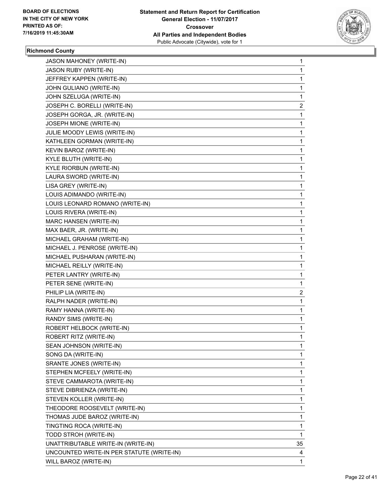

# **Richmond County**

| <b>JASON MAHONEY (WRITE-IN)</b>           | 1  |
|-------------------------------------------|----|
| <b>JASON RUBY (WRITE-IN)</b>              | 1  |
| JEFFREY KAPPEN (WRITE-IN)                 | 1  |
| JOHN GULIANO (WRITE-IN)                   | 1  |
| JOHN SZELUGA (WRITE-IN)                   | 1  |
| JOSEPH C. BORELLI (WRITE-IN)              | 2  |
| JOSEPH GORGA, JR. (WRITE-IN)              | 1  |
| JOSEPH MIONE (WRITE-IN)                   | 1  |
| JULIE MOODY LEWIS (WRITE-IN)              | 1  |
| KATHLEEN GORMAN (WRITE-IN)                | 1  |
| KEVIN BAROZ (WRITE-IN)                    | 1  |
| KYLE BLUTH (WRITE-IN)                     | 1  |
| KYLE RIORBUN (WRITE-IN)                   | 1  |
| LAURA SWORD (WRITE-IN)                    | 1  |
| LISA GREY (WRITE-IN)                      | 1  |
| LOUIS ADIMANDO (WRITE-IN)                 | 1  |
| LOUIS LEONARD ROMANO (WRITE-IN)           | 1  |
| LOUIS RIVERA (WRITE-IN)                   | 1  |
| <b>MARC HANSEN (WRITE-IN)</b>             | 1  |
| MAX BAER, JR. (WRITE-IN)                  | 1  |
| MICHAEL GRAHAM (WRITE-IN)                 | 1  |
| MICHAEL J. PENROSE (WRITE-IN)             | 1  |
| MICHAEL PUSHARAN (WRITE-IN)               | 1  |
| MICHAEL REILLY (WRITE-IN)                 | 1  |
| PETER LANTRY (WRITE-IN)                   | 1  |
| PETER SENE (WRITE-IN)                     | 1  |
| PHILIP LIA (WRITE-IN)                     | 2  |
| RALPH NADER (WRITE-IN)                    | 1  |
| RAMY HANNA (WRITE-IN)                     | 1  |
| RANDY SIMS (WRITE-IN)                     | 1  |
| ROBERT HELBOCK (WRITE-IN)                 | 1  |
| ROBERT RITZ (WRITE-IN)                    | 1  |
| SEAN JOHNSON (WRITE-IN)                   | 1  |
| SONG DA (WRITE-IN)                        | 1  |
| SRANTE JONES (WRITE-IN)                   | 1  |
| STEPHEN MCFEELY (WRITE-IN)                | 1  |
| STEVE CAMMAROTA (WRITE-IN)                | 1  |
| STEVE DIBRIENZA (WRITE-IN)                | 1  |
| STEVEN KOLLER (WRITE-IN)                  | 1  |
| THEODORE ROOSEVELT (WRITE-IN)             | 1  |
| THOMAS JUDE BAROZ (WRITE-IN)              | 1  |
| TINGTING ROCA (WRITE-IN)                  | 1  |
| TODD STROH (WRITE-IN)                     | 1  |
| UNATTRIBUTABLE WRITE-IN (WRITE-IN)        | 35 |
| UNCOUNTED WRITE-IN PER STATUTE (WRITE-IN) | 4  |
| WILL BAROZ (WRITE-IN)                     | 1  |
|                                           |    |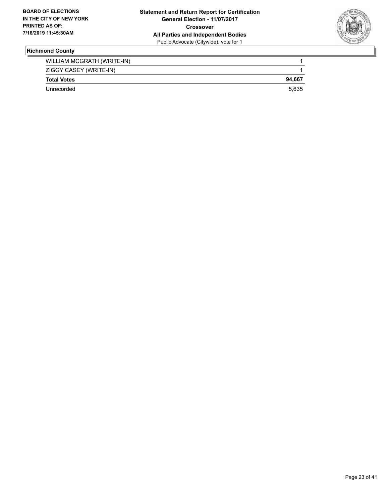

# **Richmond County**

| WILLIAM MCGRATH (WRITE-IN) |        |
|----------------------------|--------|
| ZIGGY CASEY (WRITE-IN)     |        |
| <b>Total Votes</b>         | 94.667 |
| Unrecorded                 | 5.635  |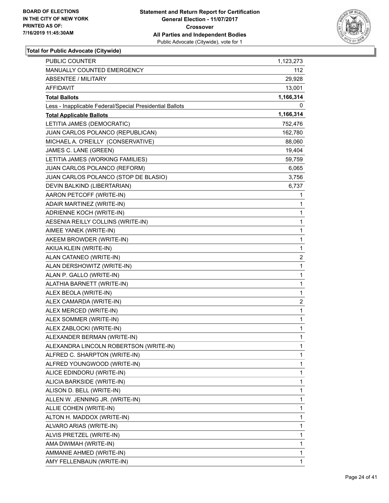

| PUBLIC COUNTER                                           | 1,123,273    |
|----------------------------------------------------------|--------------|
| MANUALLY COUNTED EMERGENCY                               | 112          |
| <b>ABSENTEE / MILITARY</b>                               | 29,928       |
| <b>AFFIDAVIT</b>                                         | 13,001       |
| <b>Total Ballots</b>                                     | 1,166,314    |
| Less - Inapplicable Federal/Special Presidential Ballots | 0            |
| <b>Total Applicable Ballots</b>                          | 1,166,314    |
| LETITIA JAMES (DEMOCRATIC)                               | 752,476      |
| JUAN CARLOS POLANCO (REPUBLICAN)                         | 162,780      |
| MICHAEL A. O'REILLY (CONSERVATIVE)                       | 88,060       |
| JAMES C. LANE (GREEN)                                    | 19,404       |
| LETITIA JAMES (WORKING FAMILIES)                         | 59,759       |
| JUAN CARLOS POLANCO (REFORM)                             | 6,065        |
| JUAN CARLOS POLANCO (STOP DE BLASIO)                     | 3,756        |
| DEVIN BALKIND (LIBERTARIAN)                              | 6,737        |
| AARON PETCOFF (WRITE-IN)                                 | 1            |
| ADAIR MARTINEZ (WRITE-IN)                                | 1            |
| ADRIENNE KOCH (WRITE-IN)                                 | 1            |
| AESENIA REILLY COLLINS (WRITE-IN)                        | 1            |
| AIMEE YANEK (WRITE-IN)                                   | 1            |
| AKEEM BROWDER (WRITE-IN)                                 | 1            |
| AKIUA KLEIN (WRITE-IN)                                   | 1            |
| ALAN CATANEO (WRITE-IN)                                  | 2            |
| ALAN DERSHOWITZ (WRITE-IN)                               | 1            |
| ALAN P. GALLO (WRITE-IN)                                 | 1            |
| ALATHIA BARNETT (WRITE-IN)                               | 1            |
| ALEX BEOLA (WRITE-IN)                                    | 1            |
| ALEX CAMARDA (WRITE-IN)                                  | 2            |
| ALEX MERCED (WRITE-IN)                                   | 1            |
| ALEX SOMMER (WRITE-IN)                                   | $\mathbf{1}$ |
| ALEX ZABLOCKI (WRITE-IN)                                 | 1            |
| ALEXANDER BERMAN (WRITE-IN)                              | 1            |
| ALEXANDRA LINCOLN ROBERTSON (WRITE-IN)                   | 1            |
| ALFRED C. SHARPTON (WRITE-IN)                            | 1            |
| ALFRED YOUNGWOOD (WRITE-IN)                              | 1            |
| ALICE EDINDORU (WRITE-IN)                                | 1            |
| ALICIA BARKSIDE (WRITE-IN)                               | 1            |
| ALISON D. BELL (WRITE-IN)                                | 1            |
| ALLEN W. JENNING JR. (WRITE-IN)                          | 1            |
| ALLIE COHEN (WRITE-IN)                                   | 1            |
| ALTON H. MADDOX (WRITE-IN)                               | 1            |
| ALVARO ARIAS (WRITE-IN)                                  | 1            |
| ALVIS PRETZEL (WRITE-IN)                                 | 1            |
| AMA DWIMAH (WRITE-IN)                                    | 1            |
| AMMANIE AHMED (WRITE-IN)                                 | 1            |
| AMY FELLENBAUN (WRITE-IN)                                | 1            |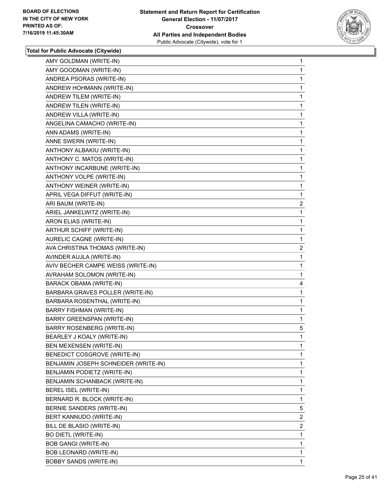

| AMY GOLDMAN (WRITE-IN)               | 1              |
|--------------------------------------|----------------|
| AMY GOODMAN (WRITE-IN)               | 1              |
| ANDREA PSORAS (WRITE-IN)             | 1              |
| ANDREW HOHMANN (WRITE-IN)            | 1              |
| ANDREW TILEM (WRITE-IN)              | 1              |
| ANDREW TILEN (WRITE-IN)              | 1              |
| ANDREW VILLA (WRITE-IN)              | 1              |
| ANGELINA CAMACHO (WRITE-IN)          | 1              |
| ANN ADAMS (WRITE-IN)                 | 1              |
| ANNE SWERN (WRITE-IN)                | 1              |
| ANTHONY ALBAKIU (WRITE-IN)           | 1              |
| ANTHONY C. MATOS (WRITE-IN)          | 1              |
| ANTHONY INCARBUNE (WRITE-IN)         | 1              |
| ANTHONY VOLPE (WRITE-IN)             | 1              |
| ANTHONY WEINER (WRITE-IN)            | 1              |
| APRIL VEGA DIFFUT (WRITE-IN)         | 1              |
| ARI BAUM (WRITE-IN)                  | $\overline{c}$ |
| ARIEL JANKELWITZ (WRITE-IN)          | 1              |
| ARON ELIAS (WRITE-IN)                | 1              |
| ARTHUR SCHIFF (WRITE-IN)             | 1              |
| AURELIC CAGNE (WRITE-IN)             | 1              |
| AVA CHRISTINA THOMAS (WRITE-IN)      | $\overline{2}$ |
| AVINDER AUJLA (WRITE-IN)             | 1              |
| AVIV BECHER CAMPE WEISS (WRITE-IN)   | 1              |
| AVRAHAM SOLOMON (WRITE-IN)           | 1              |
| BARACK OBAMA (WRITE-IN)              | 4              |
| BARBARA GRAVES POLLER (WRITE-IN)     | 1              |
| BARBARA ROSENTHAL (WRITE-IN)         | 1              |
| BARRY FISHMAN (WRITE-IN)             | 1              |
| BARRY GREENSPAN (WRITE-IN)           | 1              |
| BARRY ROSENBERG (WRITE-IN)           | 5              |
| BEARLEY J KOALY (WRITE-IN)           | 1              |
| BEN MEXENSEN (WRITE-IN)              | 1              |
| BENEDICT COSGROVE (WRITE-IN)         | 1              |
| BENJAMIN JOSEPH SCHNEIDER (WRITE-IN) | 1              |
| BENJAMIN PODIETZ (WRITE-IN)          | 1              |
| BENJAMIN SCHANBACK (WRITE-IN)        | 1              |
| BEREL ISEL (WRITE-IN)                | 1              |
| BERNARD R. BLOCK (WRITE-IN)          | 1              |
| BERNIE SANDERS (WRITE-IN)            | 5              |
| BERT KANNUDO (WRITE-IN)              | 2              |
| BILL DE BLASIO (WRITE-IN)            | 2              |
| <b>BO DIETL (WRITE-IN)</b>           | 1              |
| <b>BOB GANGI (WRITE-IN)</b>          | 1              |
| BOB LEONARD (WRITE-IN)               | 1              |
| <b>BOBBY SANDS (WRITE-IN)</b>        | 1              |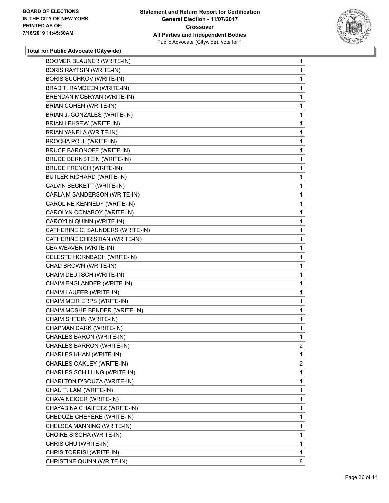

| <b>BOOMER BLAUNER (WRITE-IN)</b>  | 1              |
|-----------------------------------|----------------|
| <b>BORIS RAYTSIN (WRITE-IN)</b>   | 1              |
| <b>BORIS SUCHKOV (WRITE-IN)</b>   | 1              |
| BRAD T. RAMDEEN (WRITE-IN)        | 1              |
| BRENDAN MCBRYAN (WRITE-IN)        | 1              |
| BRIAN COHEN (WRITE-IN)            | 1              |
| BRIAN J. GONZALES (WRITE-IN)      | 1              |
| <b>BRIAN LEHSEW (WRITE-IN)</b>    | 1              |
| BRIAN YANELA (WRITE-IN)           | 1              |
| <b>BROCHA POLL (WRITE-IN)</b>     | 1              |
| <b>BRUCE BARONOFF (WRITE-IN)</b>  | 1              |
| <b>BRUCE BERNSTEIN (WRITE-IN)</b> | 1              |
| <b>BRUCE FRENCH (WRITE-IN)</b>    | 1              |
| BUTLER RICHARD (WRITE-IN)         | 1              |
| CALVIN BECKETT (WRITE-IN)         | 1              |
| CARLA M SANDERSON (WRITE-IN)      | 1              |
| CAROLINE KENNEDY (WRITE-IN)       | 1              |
| CAROLYN CONABOY (WRITE-IN)        | 1              |
| CAROYLN QUINN (WRITE-IN)          | 1              |
| CATHERINE C. SAUNDERS (WRITE-IN)  | 1              |
| CATHERINE CHRISTIAN (WRITE-IN)    | 1              |
| CEA WEAVER (WRITE-IN)             | 1              |
| CELESTE HORNBACH (WRITE-IN)       | 1              |
| CHAD BROWN (WRITE-IN)             | 1              |
| CHAIM DEUTSCH (WRITE-IN)          | 1              |
| CHAIM ENGLANDER (WRITE-IN)        | 1              |
| CHAIM LAUFER (WRITE-IN)           | 1              |
| CHAIM MEIR ERPS (WRITE-IN)        | 1              |
| CHAIM MOSHE BENDER (WRITE-IN)     | 1              |
| CHAIM SHTEIN (WRITE-IN)           | 1              |
| CHAPMAN DARK (WRITE-IN)           | 1              |
| CHARLES BARON (WRITE-IN)          | 1              |
| CHARLES BARRON (WRITE-IN)         | $\overline{2}$ |
| CHARLES KHAN (WRITE-IN)           | 1              |
| CHARLES OAKLEY (WRITE-IN)         | 2              |
| CHARLES SCHILLING (WRITE-IN)      | 1              |
| CHARLTON D'SOUZA (WRITE-IN)       | 1              |
| CHAU T. LAM (WRITE-IN)            | 1              |
| CHAVA NEIGER (WRITE-IN)           | 1              |
| CHAYABINA CHAIFETZ (WRITE-IN)     | 1              |
| CHEDOZE CHEYERE (WRITE-IN)        | 1              |
| CHELSEA MANNING (WRITE-IN)        | 1              |
| CHOIRE SISCHA (WRITE-IN)          | 1              |
| CHRIS CHU (WRITE-IN)              | 1              |
| CHRIS TORRISI (WRITE-IN)          | 1              |
| CHRISTINE QUINN (WRITE-IN)        | 8              |
|                                   |                |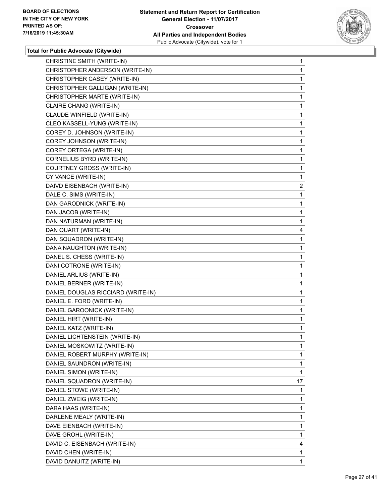

| CHRISTINE SMITH (WRITE-IN)         | 1              |
|------------------------------------|----------------|
| CHRISTOPHER ANDERSON (WRITE-IN)    | 1              |
| CHRISTOPHER CASEY (WRITE-IN)       | 1              |
| CHRISTOPHER GALLIGAN (WRITE-IN)    | 1              |
| CHRISTOPHER MARTE (WRITE-IN)       | 1              |
| CLAIRE CHANG (WRITE-IN)            | 1              |
| CLAUDE WINFIELD (WRITE-IN)         | 1              |
| CLEO KASSELL-YUNG (WRITE-IN)       | 1              |
| COREY D. JOHNSON (WRITE-IN)        | 1              |
| COREY JOHNSON (WRITE-IN)           | 1              |
| COREY ORTEGA (WRITE-IN)            | 1              |
| CORNELIUS BYRD (WRITE-IN)          | 1              |
| COURTNEY GROSS (WRITE-IN)          | 1              |
| CY VANCE (WRITE-IN)                | 1              |
| DAIVD EISENBACH (WRITE-IN)         | $\overline{2}$ |
| DALE C. SIMS (WRITE-IN)            | 1              |
| DAN GARODNICK (WRITE-IN)           | 1              |
| DAN JACOB (WRITE-IN)               | 1              |
| DAN NATURMAN (WRITE-IN)            | 1              |
| DAN QUART (WRITE-IN)               | 4              |
| DAN SQUADRON (WRITE-IN)            | 1              |
| DANA NAUGHTON (WRITE-IN)           | 1              |
| DANEL S. CHESS (WRITE-IN)          | 1              |
| DANI COTRONE (WRITE-IN)            | 1              |
| DANIEL ARLIUS (WRITE-IN)           | 1              |
| DANIEL BERNER (WRITE-IN)           | 1              |
| DANIEL DOUGLAS RICCIARD (WRITE-IN) | 1              |
| DANIEL E. FORD (WRITE-IN)          | 1              |
| DANIEL GAROONICK (WRITE-IN)        | 1              |
| DANIEL HIRT (WRITE-IN)             | 1              |
| DANIEL KATZ (WRITE-IN)             | 1              |
| DANIEL LICHTENSTEIN (WRITE-IN)     | 1              |
| DANIEL MOSKOWITZ (WRITE-IN)        | 1              |
| DANIEL ROBERT MURPHY (WRITE-IN)    | 1              |
| DANIEL SAUNDRON (WRITE-IN)         | 1              |
| DANIEL SIMON (WRITE-IN)            | 1              |
| DANIEL SQUADRON (WRITE-IN)         | 17             |
| DANIEL STOWE (WRITE-IN)            | 1              |
| DANIEL ZWEIG (WRITE-IN)            | 1              |
| DARA HAAS (WRITE-IN)               | 1              |
| DARLENE MEALY (WRITE-IN)           | 1              |
| DAVE EIENBACH (WRITE-IN)           | 1              |
| DAVE GROHL (WRITE-IN)              | 1              |
| DAVID C. EISENBACH (WRITE-IN)      | 4              |
| DAVID CHEN (WRITE-IN)              | 1              |
| DAVID DANUITZ (WRITE-IN)           | 1              |
|                                    |                |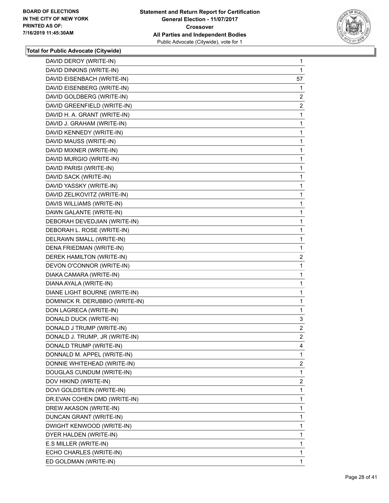

| DAVID DEROY (WRITE-IN)          | 1              |
|---------------------------------|----------------|
| DAVID DINKINS (WRITE-IN)        | 1              |
| DAVID EISENBACH (WRITE-IN)      | 57             |
| DAVID EISENBERG (WRITE-IN)      | 1              |
| DAVID GOLDBERG (WRITE-IN)       | 2              |
| DAVID GREENFIELD (WRITE-IN)     | $\overline{2}$ |
| DAVID H. A. GRANT (WRITE-IN)    | 1              |
| DAVID J. GRAHAM (WRITE-IN)      | 1              |
| DAVID KENNEDY (WRITE-IN)        | 1              |
| DAVID MAUSS (WRITE-IN)          | 1              |
| DAVID MIXNER (WRITE-IN)         | 1              |
| DAVID MURGIO (WRITE-IN)         | 1              |
| DAVID PARISI (WRITE-IN)         | 1              |
| DAVID SACK (WRITE-IN)           | 1              |
| DAVID YASSKY (WRITE-IN)         | 1              |
| DAVID ZELIKOVITZ (WRITE-IN)     | 1              |
| DAVIS WILLIAMS (WRITE-IN)       | 1              |
| DAWN GALANTE (WRITE-IN)         | $\mathbf{1}$   |
| DEBORAH DEVEDJIAN (WRITE-IN)    | 1              |
| DEBORAH L. ROSE (WRITE-IN)      | 1              |
| DELRAWN SMALL (WRITE-IN)        | 1              |
| DENA FRIEDMAN (WRITE-IN)        | 1              |
| DEREK HAMILTON (WRITE-IN)       | 2              |
| DEVON O'CONNOR (WRITE-IN)       | 1              |
| DIAKA CAMARA (WRITE-IN)         | 1              |
| DIANA AYALA (WRITE-IN)          | 1              |
| DIANE LIGHT BOURNE (WRITE-IN)   | 1              |
| DOMINICK R. DERUBBIO (WRITE-IN) | 1              |
| DON LAGRECA (WRITE-IN)          | 1              |
| DONALD DUCK (WRITE-IN)          | 3              |
| DONALD J TRUMP (WRITE-IN)       | $\overline{2}$ |
| DONALD J. TRUMP, JR (WRITE-IN)  | $\overline{2}$ |
| DONALD TRUMP (WRITE-IN)         | 4              |
| DONNALD M. APPEL (WRITE-IN)     | 1              |
| DONNIE WHITEHEAD (WRITE-IN)     | $\overline{2}$ |
| DOUGLAS CUNDUM (WRITE-IN)       | 1              |
| DOV HIKIND (WRITE-IN)           | $\overline{2}$ |
| DOVI GOLDSTEIN (WRITE-IN)       | 1              |
| DR.EVAN COHEN DMD (WRITE-IN)    | 1              |
| DREW AKASON (WRITE-IN)          | 1              |
| DUNCAN GRANT (WRITE-IN)         | 1              |
| DWIGHT KENWOOD (WRITE-IN)       | 1              |
| DYER HALDEN (WRITE-IN)          | 1              |
| E.S MILLER (WRITE-IN)           | 1              |
| ECHO CHARLES (WRITE-IN)         | 1              |
| ED GOLDMAN (WRITE-IN)           | 1              |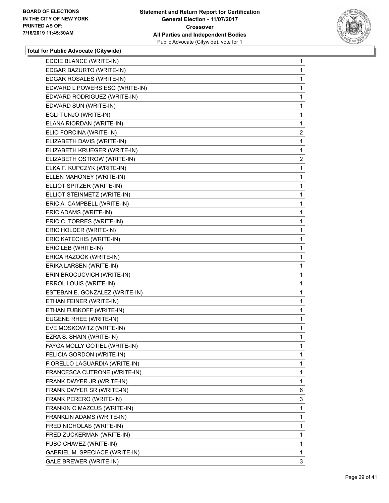

| EDDIE BLANCE (WRITE-IN)               | 1              |
|---------------------------------------|----------------|
| EDGAR BAZURTO (WRITE-IN)              | 1              |
| EDGAR ROSALES (WRITE-IN)              | 1              |
| EDWARD L POWERS ESQ (WRITE-IN)        | 1              |
| EDWARD RODRIGUEZ (WRITE-IN)           | 1              |
| EDWARD SUN (WRITE-IN)                 | 1              |
| EGLI TUNJO (WRITE-IN)                 | 1              |
| ELANA RIORDAN (WRITE-IN)              | 1              |
| ELIO FORCINA (WRITE-IN)               | $\overline{c}$ |
| ELIZABETH DAVIS (WRITE-IN)            | 1              |
| ELIZABETH KRUEGER (WRITE-IN)          | 1              |
| ELIZABETH OSTROW (WRITE-IN)           | $\overline{c}$ |
| ELKA F. KUPCZYK (WRITE-IN)            | 1              |
| ELLEN MAHONEY (WRITE-IN)              | 1              |
| ELLIOT SPITZER (WRITE-IN)             | 1              |
| ELLIOT STEINMETZ (WRITE-IN)           | 1              |
| ERIC A. CAMPBELL (WRITE-IN)           | 1              |
| ERIC ADAMS (WRITE-IN)                 | 1              |
| ERIC C. TORRES (WRITE-IN)             | 1              |
| ERIC HOLDER (WRITE-IN)                | 1              |
| ERIC KATECHIS (WRITE-IN)              | 1              |
| ERIC LEB (WRITE-IN)                   | 1              |
| ERICA RAZOOK (WRITE-IN)               | 1              |
| ERIKA LARSEN (WRITE-IN)               | 1              |
| ERIN BROCUCVICH (WRITE-IN)            | 1              |
| ERROL LOUIS (WRITE-IN)                | 1              |
| ESTEBAN E. GONZALEZ (WRITE-IN)        | 1              |
| ETHAN FEINER (WRITE-IN)               | 1              |
| ETHAN FUBKOFF (WRITE-IN)              | 1              |
| EUGENE RHEE (WRITE-IN)                | 1              |
| EVE MOSKOWITZ (WRITE-IN)              | 1              |
| EZRA S. SHAIN (WRITE-IN)              | 1              |
| FAYGA MOLLY GOTIEL (WRITE-IN)         | 1              |
| FELICIA GORDON (WRITE-IN)             | 1              |
| FIORELLO LAGUARDIA (WRITE-IN)         | 1              |
| FRANCESCA CUTRONE (WRITE-IN)          | 1              |
| FRANK DWYER JR (WRITE-IN)             | 1              |
| FRANK DWYER SR (WRITE-IN)             | 6              |
| FRANK PERERO (WRITE-IN)               | 3              |
| FRANKIN C MAZCUS (WRITE-IN)           | 1              |
| FRANKLIN ADAMS (WRITE-IN)             | 1              |
| FRED NICHOLAS (WRITE-IN)              | 1              |
| FRED ZUCKERMAN (WRITE-IN)             | 1              |
| FUBO CHAVEZ (WRITE-IN)                | 1              |
| <b>GABRIEL M. SPECIACE (WRITE-IN)</b> | 1              |
| <b>GALE BREWER (WRITE-IN)</b>         | 3              |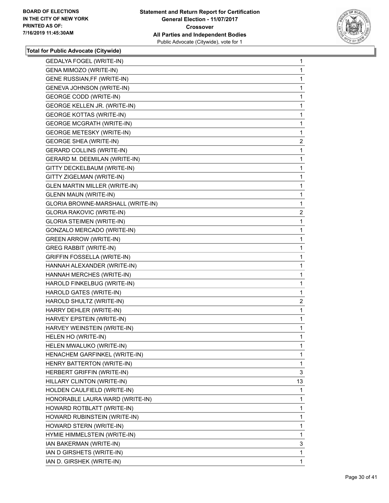

| <b>GEDALYA FOGEL (WRITE-IN)</b>      | 1              |
|--------------------------------------|----------------|
| GENA MIMOZO (WRITE-IN)               | 1              |
| GENE RUSSIAN, FF (WRITE-IN)          | 1              |
| GENEVA JOHNSON (WRITE-IN)            | 1              |
| <b>GEORGE CODD (WRITE-IN)</b>        | 1              |
| GEORGE KELLEN JR. (WRITE-IN)         | 1              |
| <b>GEORGE KOTTAS (WRITE-IN)</b>      | 1              |
| <b>GEORGE MCGRATH (WRITE-IN)</b>     | 1              |
| <b>GEORGE METESKY (WRITE-IN)</b>     | 1              |
| <b>GEORGE SHEA (WRITE-IN)</b>        | $\overline{2}$ |
| <b>GERARD COLLINS (WRITE-IN)</b>     | 1              |
| GERARD M. DEEMILAN (WRITE-IN)        | 1              |
| GITTY DECKELBAUM (WRITE-IN)          | 1              |
| GITTY ZIGELMAN (WRITE-IN)            | 1              |
| <b>GLEN MARTIN MILLER (WRITE-IN)</b> | 1              |
| <b>GLENN MAUN (WRITE-IN)</b>         | 1              |
| GLORIA BROWNE-MARSHALL (WRITE-IN)    | 1              |
| <b>GLORIA RAKOVIC (WRITE-IN)</b>     | $\overline{c}$ |
| <b>GLORIA STEIMEN (WRITE-IN)</b>     | 1              |
| GONZALO MERCADO (WRITE-IN)           | 1              |
| <b>GREEN ARROW (WRITE-IN)</b>        | 1              |
| <b>GREG RABBIT (WRITE-IN)</b>        | 1              |
| <b>GRIFFIN FOSSELLA (WRITE-IN)</b>   | 1              |
| HANNAH ALEXANDER (WRITE-IN)          | 1              |
| HANNAH MERCHES (WRITE-IN)            | 1              |
| HAROLD FINKELBUG (WRITE-IN)          | 1              |
| HAROLD GATES (WRITE-IN)              | 1              |
| HAROLD SHULTZ (WRITE-IN)             | $\overline{2}$ |
| HARRY DEHLER (WRITE-IN)              | 1              |
| HARVEY EPSTEIN (WRITE-IN)            | 1              |
| HARVEY WEINSTEIN (WRITE-IN)          | 1              |
| HELEN HO (WRITE-IN)                  | 1              |
| HELEN MWALUKO (WRITE-IN)             | 1              |
| HENACHEM GARFINKEL (WRITE-IN)        | 1              |
| HENRY BATTERTON (WRITE-IN)           | 1              |
| HERBERT GRIFFIN (WRITE-IN)           | 3              |
| HILLARY CLINTON (WRITE-IN)           | 13             |
| HOLDEN CAULFIELD (WRITE-IN)          | 1              |
| HONORABLE LAURA WARD (WRITE-IN)      | 1              |
| HOWARD ROTBLATT (WRITE-IN)           | 1              |
| HOWARD RUBINSTEIN (WRITE-IN)         | 1              |
| HOWARD STERN (WRITE-IN)              | 1              |
| HYMIE HIMMELSTEIN (WRITE-IN)         | 1              |
| IAN BAKERMAN (WRITE-IN)              | 3              |
| IAN D GIRSHETS (WRITE-IN)            | 1              |
| IAN D. GIRSHEK (WRITE-IN)            | 1              |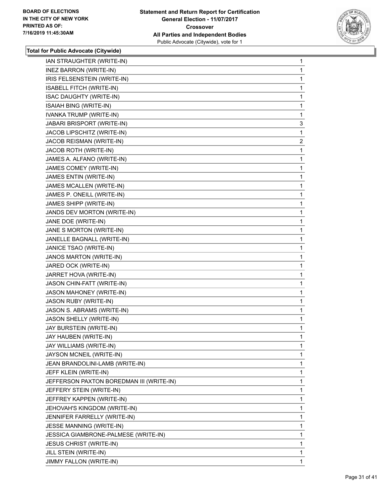

| IAN STRAUGHTER (WRITE-IN)                | 1              |
|------------------------------------------|----------------|
| <b>INEZ BARRON (WRITE-IN)</b>            | 1              |
| IRIS FELSENSTEIN (WRITE-IN)              | 1              |
| ISABELL FITCH (WRITE-IN)                 | 1              |
| ISAC DAUGHTY (WRITE-IN)                  | 1              |
| ISAIAH BING (WRITE-IN)                   | 1              |
| IVANKA TRUMP (WRITE-IN)                  | 1              |
| JABARI BRISPORT (WRITE-IN)               | 3              |
| JACOB LIPSCHITZ (WRITE-IN)               | 1              |
| JACOB REISMAN (WRITE-IN)                 | $\overline{2}$ |
| JACOB ROTH (WRITE-IN)                    | 1              |
| JAMES A. ALFANO (WRITE-IN)               | 1              |
| JAMES COMEY (WRITE-IN)                   | 1              |
| JAMES ENTIN (WRITE-IN)                   | 1              |
| JAMES MCALLEN (WRITE-IN)                 | 1              |
| JAMES P. ONEILL (WRITE-IN)               | 1              |
| JAMES SHIPP (WRITE-IN)                   | 1              |
| JANDS DEV MORTON (WRITE-IN)              | 1              |
| JANE DOE (WRITE-IN)                      | 1              |
| JANE S MORTON (WRITE-IN)                 | 1              |
| JANELLE BAGNALL (WRITE-IN)               | 1              |
| JANICE TSAO (WRITE-IN)                   | 1              |
| JANOS MARTON (WRITE-IN)                  | 1              |
| JARED OCK (WRITE-IN)                     | 1              |
| JARRET HOVA (WRITE-IN)                   | 1              |
| JASON CHIN-FATT (WRITE-IN)               | 1              |
| JASON MAHONEY (WRITE-IN)                 | 1              |
| <b>JASON RUBY (WRITE-IN)</b>             | 1              |
| JASON S. ABRAMS (WRITE-IN)               | 1              |
| JASON SHELLY (WRITE-IN)                  | 1              |
| JAY BURSTEIN (WRITE-IN)                  | 1              |
| JAY HAUBEN (WRITE-IN)                    | 1              |
| JAY WILLIAMS (WRITE-IN)                  | 1              |
| JAYSON MCNEIL (WRITE-IN)                 | 1              |
| JEAN BRANDOLINI-LAMB (WRITE-IN)          | 1              |
| JEFF KLEIN (WRITE-IN)                    | 1              |
| JEFFERSON PAXTON BOREDMAN III (WRITE-IN) | 1              |
| JEFFERY STEIN (WRITE-IN)                 | 1              |
| JEFFREY KAPPEN (WRITE-IN)                | 1              |
| JEHOVAH'S KINGDOM (WRITE-IN)             | 1              |
| JENNIFER FARRELLY (WRITE-IN)             | 1              |
| JESSE MANNING (WRITE-IN)                 | 1              |
| JESSICA GIAMBRONE-PALMESE (WRITE-IN)     | 1              |
| <b>JESUS CHRIST (WRITE-IN)</b>           | 1              |
| JILL STEIN (WRITE-IN)                    | 1              |
| JIMMY FALLON (WRITE-IN)                  | $\mathbf{1}$   |
|                                          |                |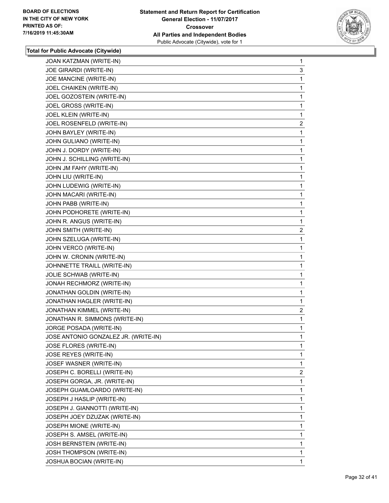

| JOE GIRARDI (WRITE-IN)<br>3<br>JOE MANCINE (WRITE-IN)<br>1<br>JOEL CHAIKEN (WRITE-IN)<br>1<br>JOEL GOZOSTEIN (WRITE-IN)<br>1<br>JOEL GROSS (WRITE-IN)<br>1<br>JOEL KLEIN (WRITE-IN)<br>1<br>JOEL ROSENFELD (WRITE-IN)<br>JOHN BAYLEY (WRITE-IN)<br>1<br>JOHN GULIANO (WRITE-IN)<br>1<br>JOHN J. DORDY (WRITE-IN)<br>1<br>JOHN J. SCHILLING (WRITE-IN)<br>1<br>JOHN JM FAHY (WRITE-IN)<br>1<br>JOHN LIU (WRITE-IN)<br>1<br>JOHN LUDEWIG (WRITE-IN)<br>1<br>JOHN MACARI (WRITE-IN)<br>1<br>JOHN PABB (WRITE-IN)<br>1<br>JOHN PODHORETE (WRITE-IN)<br>1<br>JOHN R. ANGUS (WRITE-IN)<br>1<br>JOHN SMITH (WRITE-IN)<br>JOHN SZELUGA (WRITE-IN)<br>1<br>JOHN VERCO (WRITE-IN)<br>1<br>JOHN W. CRONIN (WRITE-IN)<br>1<br>JOHNNETTE TRAILL (WRITE-IN)<br>1<br>JOLIE SCHWAB (WRITE-IN)<br>1<br>JONAH RECHMORZ (WRITE-IN)<br>1<br>JONATHAN GOLDIN (WRITE-IN)<br>1<br>JONATHAN HAGLER (WRITE-IN)<br>1<br>JONATHAN KIMMEL (WRITE-IN)<br>JONATHAN R. SIMMONS (WRITE-IN)<br>1<br>JORGE POSADA (WRITE-IN)<br>1<br>JOSE ANTONIO GONZALEZ JR. (WRITE-IN)<br>1<br>JOSE FLORES (WRITE-IN)<br>1<br>JOSE REYES (WRITE-IN)<br>1<br>JOSEF WASNER (WRITE-IN)<br>1<br>JOSEPH C. BORELLI (WRITE-IN)<br>JOSEPH GORGA, JR. (WRITE-IN)<br>1<br>JOSEPH GUAMLOARDO (WRITE-IN)<br>1<br>JOSEPH J HASLIP (WRITE-IN)<br>1<br>JOSEPH J. GIANNOTTI (WRITE-IN)<br>1<br>JOSEPH JOEY DZUZAK (WRITE-IN)<br>1<br>JOSEPH MIONE (WRITE-IN)<br>1<br>JOSEPH S. AMSEL (WRITE-IN)<br>1<br>JOSH BERNSTEIN (WRITE-IN)<br>1<br>JOSH THOMPSON (WRITE-IN)<br>1 | JOAN KATZMAN (WRITE-IN)  | $\mathbf{1}$   |
|-----------------------------------------------------------------------------------------------------------------------------------------------------------------------------------------------------------------------------------------------------------------------------------------------------------------------------------------------------------------------------------------------------------------------------------------------------------------------------------------------------------------------------------------------------------------------------------------------------------------------------------------------------------------------------------------------------------------------------------------------------------------------------------------------------------------------------------------------------------------------------------------------------------------------------------------------------------------------------------------------------------------------------------------------------------------------------------------------------------------------------------------------------------------------------------------------------------------------------------------------------------------------------------------------------------------------------------------------------------------------------------------------------------------------------------------------------------------------------------------------------------|--------------------------|----------------|
|                                                                                                                                                                                                                                                                                                                                                                                                                                                                                                                                                                                                                                                                                                                                                                                                                                                                                                                                                                                                                                                                                                                                                                                                                                                                                                                                                                                                                                                                                                           |                          |                |
|                                                                                                                                                                                                                                                                                                                                                                                                                                                                                                                                                                                                                                                                                                                                                                                                                                                                                                                                                                                                                                                                                                                                                                                                                                                                                                                                                                                                                                                                                                           |                          |                |
|                                                                                                                                                                                                                                                                                                                                                                                                                                                                                                                                                                                                                                                                                                                                                                                                                                                                                                                                                                                                                                                                                                                                                                                                                                                                                                                                                                                                                                                                                                           |                          |                |
|                                                                                                                                                                                                                                                                                                                                                                                                                                                                                                                                                                                                                                                                                                                                                                                                                                                                                                                                                                                                                                                                                                                                                                                                                                                                                                                                                                                                                                                                                                           |                          |                |
|                                                                                                                                                                                                                                                                                                                                                                                                                                                                                                                                                                                                                                                                                                                                                                                                                                                                                                                                                                                                                                                                                                                                                                                                                                                                                                                                                                                                                                                                                                           |                          |                |
|                                                                                                                                                                                                                                                                                                                                                                                                                                                                                                                                                                                                                                                                                                                                                                                                                                                                                                                                                                                                                                                                                                                                                                                                                                                                                                                                                                                                                                                                                                           |                          |                |
|                                                                                                                                                                                                                                                                                                                                                                                                                                                                                                                                                                                                                                                                                                                                                                                                                                                                                                                                                                                                                                                                                                                                                                                                                                                                                                                                                                                                                                                                                                           |                          | 2              |
|                                                                                                                                                                                                                                                                                                                                                                                                                                                                                                                                                                                                                                                                                                                                                                                                                                                                                                                                                                                                                                                                                                                                                                                                                                                                                                                                                                                                                                                                                                           |                          |                |
|                                                                                                                                                                                                                                                                                                                                                                                                                                                                                                                                                                                                                                                                                                                                                                                                                                                                                                                                                                                                                                                                                                                                                                                                                                                                                                                                                                                                                                                                                                           |                          |                |
|                                                                                                                                                                                                                                                                                                                                                                                                                                                                                                                                                                                                                                                                                                                                                                                                                                                                                                                                                                                                                                                                                                                                                                                                                                                                                                                                                                                                                                                                                                           |                          |                |
|                                                                                                                                                                                                                                                                                                                                                                                                                                                                                                                                                                                                                                                                                                                                                                                                                                                                                                                                                                                                                                                                                                                                                                                                                                                                                                                                                                                                                                                                                                           |                          |                |
|                                                                                                                                                                                                                                                                                                                                                                                                                                                                                                                                                                                                                                                                                                                                                                                                                                                                                                                                                                                                                                                                                                                                                                                                                                                                                                                                                                                                                                                                                                           |                          |                |
|                                                                                                                                                                                                                                                                                                                                                                                                                                                                                                                                                                                                                                                                                                                                                                                                                                                                                                                                                                                                                                                                                                                                                                                                                                                                                                                                                                                                                                                                                                           |                          |                |
|                                                                                                                                                                                                                                                                                                                                                                                                                                                                                                                                                                                                                                                                                                                                                                                                                                                                                                                                                                                                                                                                                                                                                                                                                                                                                                                                                                                                                                                                                                           |                          |                |
|                                                                                                                                                                                                                                                                                                                                                                                                                                                                                                                                                                                                                                                                                                                                                                                                                                                                                                                                                                                                                                                                                                                                                                                                                                                                                                                                                                                                                                                                                                           |                          |                |
|                                                                                                                                                                                                                                                                                                                                                                                                                                                                                                                                                                                                                                                                                                                                                                                                                                                                                                                                                                                                                                                                                                                                                                                                                                                                                                                                                                                                                                                                                                           |                          |                |
|                                                                                                                                                                                                                                                                                                                                                                                                                                                                                                                                                                                                                                                                                                                                                                                                                                                                                                                                                                                                                                                                                                                                                                                                                                                                                                                                                                                                                                                                                                           |                          |                |
|                                                                                                                                                                                                                                                                                                                                                                                                                                                                                                                                                                                                                                                                                                                                                                                                                                                                                                                                                                                                                                                                                                                                                                                                                                                                                                                                                                                                                                                                                                           |                          |                |
|                                                                                                                                                                                                                                                                                                                                                                                                                                                                                                                                                                                                                                                                                                                                                                                                                                                                                                                                                                                                                                                                                                                                                                                                                                                                                                                                                                                                                                                                                                           |                          | 2              |
|                                                                                                                                                                                                                                                                                                                                                                                                                                                                                                                                                                                                                                                                                                                                                                                                                                                                                                                                                                                                                                                                                                                                                                                                                                                                                                                                                                                                                                                                                                           |                          |                |
|                                                                                                                                                                                                                                                                                                                                                                                                                                                                                                                                                                                                                                                                                                                                                                                                                                                                                                                                                                                                                                                                                                                                                                                                                                                                                                                                                                                                                                                                                                           |                          |                |
|                                                                                                                                                                                                                                                                                                                                                                                                                                                                                                                                                                                                                                                                                                                                                                                                                                                                                                                                                                                                                                                                                                                                                                                                                                                                                                                                                                                                                                                                                                           |                          |                |
|                                                                                                                                                                                                                                                                                                                                                                                                                                                                                                                                                                                                                                                                                                                                                                                                                                                                                                                                                                                                                                                                                                                                                                                                                                                                                                                                                                                                                                                                                                           |                          |                |
|                                                                                                                                                                                                                                                                                                                                                                                                                                                                                                                                                                                                                                                                                                                                                                                                                                                                                                                                                                                                                                                                                                                                                                                                                                                                                                                                                                                                                                                                                                           |                          |                |
|                                                                                                                                                                                                                                                                                                                                                                                                                                                                                                                                                                                                                                                                                                                                                                                                                                                                                                                                                                                                                                                                                                                                                                                                                                                                                                                                                                                                                                                                                                           |                          |                |
|                                                                                                                                                                                                                                                                                                                                                                                                                                                                                                                                                                                                                                                                                                                                                                                                                                                                                                                                                                                                                                                                                                                                                                                                                                                                                                                                                                                                                                                                                                           |                          |                |
|                                                                                                                                                                                                                                                                                                                                                                                                                                                                                                                                                                                                                                                                                                                                                                                                                                                                                                                                                                                                                                                                                                                                                                                                                                                                                                                                                                                                                                                                                                           |                          |                |
|                                                                                                                                                                                                                                                                                                                                                                                                                                                                                                                                                                                                                                                                                                                                                                                                                                                                                                                                                                                                                                                                                                                                                                                                                                                                                                                                                                                                                                                                                                           |                          | $\overline{2}$ |
|                                                                                                                                                                                                                                                                                                                                                                                                                                                                                                                                                                                                                                                                                                                                                                                                                                                                                                                                                                                                                                                                                                                                                                                                                                                                                                                                                                                                                                                                                                           |                          |                |
|                                                                                                                                                                                                                                                                                                                                                                                                                                                                                                                                                                                                                                                                                                                                                                                                                                                                                                                                                                                                                                                                                                                                                                                                                                                                                                                                                                                                                                                                                                           |                          |                |
|                                                                                                                                                                                                                                                                                                                                                                                                                                                                                                                                                                                                                                                                                                                                                                                                                                                                                                                                                                                                                                                                                                                                                                                                                                                                                                                                                                                                                                                                                                           |                          |                |
|                                                                                                                                                                                                                                                                                                                                                                                                                                                                                                                                                                                                                                                                                                                                                                                                                                                                                                                                                                                                                                                                                                                                                                                                                                                                                                                                                                                                                                                                                                           |                          |                |
|                                                                                                                                                                                                                                                                                                                                                                                                                                                                                                                                                                                                                                                                                                                                                                                                                                                                                                                                                                                                                                                                                                                                                                                                                                                                                                                                                                                                                                                                                                           |                          |                |
|                                                                                                                                                                                                                                                                                                                                                                                                                                                                                                                                                                                                                                                                                                                                                                                                                                                                                                                                                                                                                                                                                                                                                                                                                                                                                                                                                                                                                                                                                                           |                          |                |
|                                                                                                                                                                                                                                                                                                                                                                                                                                                                                                                                                                                                                                                                                                                                                                                                                                                                                                                                                                                                                                                                                                                                                                                                                                                                                                                                                                                                                                                                                                           |                          | $\overline{2}$ |
|                                                                                                                                                                                                                                                                                                                                                                                                                                                                                                                                                                                                                                                                                                                                                                                                                                                                                                                                                                                                                                                                                                                                                                                                                                                                                                                                                                                                                                                                                                           |                          |                |
|                                                                                                                                                                                                                                                                                                                                                                                                                                                                                                                                                                                                                                                                                                                                                                                                                                                                                                                                                                                                                                                                                                                                                                                                                                                                                                                                                                                                                                                                                                           |                          |                |
|                                                                                                                                                                                                                                                                                                                                                                                                                                                                                                                                                                                                                                                                                                                                                                                                                                                                                                                                                                                                                                                                                                                                                                                                                                                                                                                                                                                                                                                                                                           |                          |                |
|                                                                                                                                                                                                                                                                                                                                                                                                                                                                                                                                                                                                                                                                                                                                                                                                                                                                                                                                                                                                                                                                                                                                                                                                                                                                                                                                                                                                                                                                                                           |                          |                |
|                                                                                                                                                                                                                                                                                                                                                                                                                                                                                                                                                                                                                                                                                                                                                                                                                                                                                                                                                                                                                                                                                                                                                                                                                                                                                                                                                                                                                                                                                                           |                          |                |
|                                                                                                                                                                                                                                                                                                                                                                                                                                                                                                                                                                                                                                                                                                                                                                                                                                                                                                                                                                                                                                                                                                                                                                                                                                                                                                                                                                                                                                                                                                           |                          |                |
|                                                                                                                                                                                                                                                                                                                                                                                                                                                                                                                                                                                                                                                                                                                                                                                                                                                                                                                                                                                                                                                                                                                                                                                                                                                                                                                                                                                                                                                                                                           |                          |                |
|                                                                                                                                                                                                                                                                                                                                                                                                                                                                                                                                                                                                                                                                                                                                                                                                                                                                                                                                                                                                                                                                                                                                                                                                                                                                                                                                                                                                                                                                                                           |                          |                |
|                                                                                                                                                                                                                                                                                                                                                                                                                                                                                                                                                                                                                                                                                                                                                                                                                                                                                                                                                                                                                                                                                                                                                                                                                                                                                                                                                                                                                                                                                                           |                          |                |
|                                                                                                                                                                                                                                                                                                                                                                                                                                                                                                                                                                                                                                                                                                                                                                                                                                                                                                                                                                                                                                                                                                                                                                                                                                                                                                                                                                                                                                                                                                           | JOSHUA BOCIAN (WRITE-IN) | $\mathbf 1$    |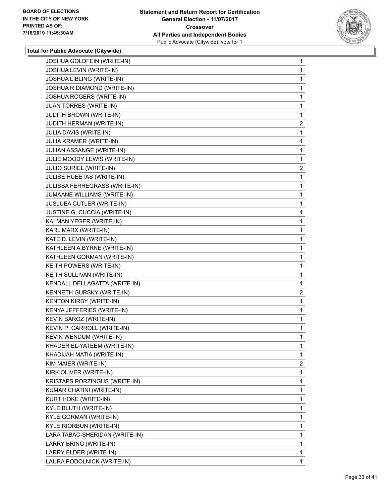

| JOSHUA LEVIN (WRITE-IN)<br>JOSHUA LIBLING (WRITE-IN)<br>JOSHUA R DIAMOND (WRITE-IN)<br><b>JOSHUA ROGERS (WRITE-IN)</b><br>JUAN TORRES (WRITE-IN)<br><b>JUDITH BROWN (WRITE-IN)</b><br>JUDITH HERMAN (WRITE-IN)<br>JULIA DAVIS (WRITE-IN)<br>JULIA KRAMER (WRITE-IN)<br>JULIAN ASSANGE (WRITE-IN)<br>JULIE MOODY LEWIS (WRITE-IN)<br>JULIO SURIEL (WRITE-IN)<br>JULISE HUEETAS (WRITE-IN)<br>JULISSA FERREGRASS (WRITE-IN)<br>JUMAANE WILLIAMS (WRITE-IN)<br>JUSLUEA CUTLER (WRITE-IN)<br>JUSTINE G. CUCCIA (WRITE-IN)<br>KALMAN YEGER (WRITE-IN)<br>KARL MARX (WRITE-IN)<br>KATE D. LEVIN (WRITE-IN)<br>KATHLEEN A.BYRNE (WRITE-IN)<br>KATHLEEN GORMAN (WRITE-IN)<br>KEITH POWERS (WRITE-IN)<br>KEITH SULLIVAN (WRITE-IN)<br>KENDALL DELLAGATTA (WRITE-IN)<br>KENNETH GURSKY (WRITE-IN)<br>KENTON KIRBY (WRITE-IN)<br>KENYA JEFFERIES (WRITE-IN)<br>KEVIN BAROZ (WRITE-IN)<br>KEVIN P. CARROLL (WRITE-IN)<br>KEVIN WENDUM (WRITE-IN)<br>KHADER EL-YATEEM (WRITE-IN)<br>KHADIJAH MATIA (WRITE-IN)<br>KIM MAIER (WRITE-IN)<br>KIRK OLIVER (WRITE-IN)<br>KRISTAPS PORZINGUS (WRITE-IN)<br>KUMAR CHATINI (WRITE-IN)<br>KURT HOKE (WRITE-IN)<br>KYLE BLUTH (WRITE-IN)<br>KYLE GORMAN (WRITE-IN)<br>KYLE RIORBUN (WRITE-IN)<br>LARA TABAC-SHERIDAN (WRITE-IN)<br>LARRY BRING (WRITE-IN)<br>LARRY ELDER (WRITE-IN)<br>LAURA PODOLNICK (WRITE-IN) | JOSHUA GOLDFEIN (WRITE-IN) | 1              |
|-------------------------------------------------------------------------------------------------------------------------------------------------------------------------------------------------------------------------------------------------------------------------------------------------------------------------------------------------------------------------------------------------------------------------------------------------------------------------------------------------------------------------------------------------------------------------------------------------------------------------------------------------------------------------------------------------------------------------------------------------------------------------------------------------------------------------------------------------------------------------------------------------------------------------------------------------------------------------------------------------------------------------------------------------------------------------------------------------------------------------------------------------------------------------------------------------------------------------------------------------------------------------------------------------------------------------------------------|----------------------------|----------------|
|                                                                                                                                                                                                                                                                                                                                                                                                                                                                                                                                                                                                                                                                                                                                                                                                                                                                                                                                                                                                                                                                                                                                                                                                                                                                                                                                           |                            | 1              |
|                                                                                                                                                                                                                                                                                                                                                                                                                                                                                                                                                                                                                                                                                                                                                                                                                                                                                                                                                                                                                                                                                                                                                                                                                                                                                                                                           |                            | 1              |
|                                                                                                                                                                                                                                                                                                                                                                                                                                                                                                                                                                                                                                                                                                                                                                                                                                                                                                                                                                                                                                                                                                                                                                                                                                                                                                                                           |                            | 1              |
|                                                                                                                                                                                                                                                                                                                                                                                                                                                                                                                                                                                                                                                                                                                                                                                                                                                                                                                                                                                                                                                                                                                                                                                                                                                                                                                                           |                            | 1              |
|                                                                                                                                                                                                                                                                                                                                                                                                                                                                                                                                                                                                                                                                                                                                                                                                                                                                                                                                                                                                                                                                                                                                                                                                                                                                                                                                           |                            | 1              |
|                                                                                                                                                                                                                                                                                                                                                                                                                                                                                                                                                                                                                                                                                                                                                                                                                                                                                                                                                                                                                                                                                                                                                                                                                                                                                                                                           |                            | 1              |
|                                                                                                                                                                                                                                                                                                                                                                                                                                                                                                                                                                                                                                                                                                                                                                                                                                                                                                                                                                                                                                                                                                                                                                                                                                                                                                                                           |                            | $\overline{a}$ |
|                                                                                                                                                                                                                                                                                                                                                                                                                                                                                                                                                                                                                                                                                                                                                                                                                                                                                                                                                                                                                                                                                                                                                                                                                                                                                                                                           |                            | 1              |
|                                                                                                                                                                                                                                                                                                                                                                                                                                                                                                                                                                                                                                                                                                                                                                                                                                                                                                                                                                                                                                                                                                                                                                                                                                                                                                                                           |                            | 1              |
|                                                                                                                                                                                                                                                                                                                                                                                                                                                                                                                                                                                                                                                                                                                                                                                                                                                                                                                                                                                                                                                                                                                                                                                                                                                                                                                                           |                            | 1              |
|                                                                                                                                                                                                                                                                                                                                                                                                                                                                                                                                                                                                                                                                                                                                                                                                                                                                                                                                                                                                                                                                                                                                                                                                                                                                                                                                           |                            | 1              |
|                                                                                                                                                                                                                                                                                                                                                                                                                                                                                                                                                                                                                                                                                                                                                                                                                                                                                                                                                                                                                                                                                                                                                                                                                                                                                                                                           |                            | $\overline{2}$ |
|                                                                                                                                                                                                                                                                                                                                                                                                                                                                                                                                                                                                                                                                                                                                                                                                                                                                                                                                                                                                                                                                                                                                                                                                                                                                                                                                           |                            | 1              |
|                                                                                                                                                                                                                                                                                                                                                                                                                                                                                                                                                                                                                                                                                                                                                                                                                                                                                                                                                                                                                                                                                                                                                                                                                                                                                                                                           |                            | 1              |
|                                                                                                                                                                                                                                                                                                                                                                                                                                                                                                                                                                                                                                                                                                                                                                                                                                                                                                                                                                                                                                                                                                                                                                                                                                                                                                                                           |                            | 1              |
|                                                                                                                                                                                                                                                                                                                                                                                                                                                                                                                                                                                                                                                                                                                                                                                                                                                                                                                                                                                                                                                                                                                                                                                                                                                                                                                                           |                            | 1              |
|                                                                                                                                                                                                                                                                                                                                                                                                                                                                                                                                                                                                                                                                                                                                                                                                                                                                                                                                                                                                                                                                                                                                                                                                                                                                                                                                           |                            | 1              |
|                                                                                                                                                                                                                                                                                                                                                                                                                                                                                                                                                                                                                                                                                                                                                                                                                                                                                                                                                                                                                                                                                                                                                                                                                                                                                                                                           |                            | 1              |
|                                                                                                                                                                                                                                                                                                                                                                                                                                                                                                                                                                                                                                                                                                                                                                                                                                                                                                                                                                                                                                                                                                                                                                                                                                                                                                                                           |                            | 1              |
|                                                                                                                                                                                                                                                                                                                                                                                                                                                                                                                                                                                                                                                                                                                                                                                                                                                                                                                                                                                                                                                                                                                                                                                                                                                                                                                                           |                            | 1              |
|                                                                                                                                                                                                                                                                                                                                                                                                                                                                                                                                                                                                                                                                                                                                                                                                                                                                                                                                                                                                                                                                                                                                                                                                                                                                                                                                           |                            | 1              |
|                                                                                                                                                                                                                                                                                                                                                                                                                                                                                                                                                                                                                                                                                                                                                                                                                                                                                                                                                                                                                                                                                                                                                                                                                                                                                                                                           |                            | 1              |
|                                                                                                                                                                                                                                                                                                                                                                                                                                                                                                                                                                                                                                                                                                                                                                                                                                                                                                                                                                                                                                                                                                                                                                                                                                                                                                                                           |                            | 1              |
|                                                                                                                                                                                                                                                                                                                                                                                                                                                                                                                                                                                                                                                                                                                                                                                                                                                                                                                                                                                                                                                                                                                                                                                                                                                                                                                                           |                            | 1              |
|                                                                                                                                                                                                                                                                                                                                                                                                                                                                                                                                                                                                                                                                                                                                                                                                                                                                                                                                                                                                                                                                                                                                                                                                                                                                                                                                           |                            | 1              |
|                                                                                                                                                                                                                                                                                                                                                                                                                                                                                                                                                                                                                                                                                                                                                                                                                                                                                                                                                                                                                                                                                                                                                                                                                                                                                                                                           |                            | $\overline{c}$ |
|                                                                                                                                                                                                                                                                                                                                                                                                                                                                                                                                                                                                                                                                                                                                                                                                                                                                                                                                                                                                                                                                                                                                                                                                                                                                                                                                           |                            | 1              |
|                                                                                                                                                                                                                                                                                                                                                                                                                                                                                                                                                                                                                                                                                                                                                                                                                                                                                                                                                                                                                                                                                                                                                                                                                                                                                                                                           |                            | 1              |
|                                                                                                                                                                                                                                                                                                                                                                                                                                                                                                                                                                                                                                                                                                                                                                                                                                                                                                                                                                                                                                                                                                                                                                                                                                                                                                                                           |                            | 1              |
|                                                                                                                                                                                                                                                                                                                                                                                                                                                                                                                                                                                                                                                                                                                                                                                                                                                                                                                                                                                                                                                                                                                                                                                                                                                                                                                                           |                            | 1              |
|                                                                                                                                                                                                                                                                                                                                                                                                                                                                                                                                                                                                                                                                                                                                                                                                                                                                                                                                                                                                                                                                                                                                                                                                                                                                                                                                           |                            | 1              |
|                                                                                                                                                                                                                                                                                                                                                                                                                                                                                                                                                                                                                                                                                                                                                                                                                                                                                                                                                                                                                                                                                                                                                                                                                                                                                                                                           |                            | 1              |
|                                                                                                                                                                                                                                                                                                                                                                                                                                                                                                                                                                                                                                                                                                                                                                                                                                                                                                                                                                                                                                                                                                                                                                                                                                                                                                                                           |                            | 1              |
|                                                                                                                                                                                                                                                                                                                                                                                                                                                                                                                                                                                                                                                                                                                                                                                                                                                                                                                                                                                                                                                                                                                                                                                                                                                                                                                                           |                            | $\overline{2}$ |
|                                                                                                                                                                                                                                                                                                                                                                                                                                                                                                                                                                                                                                                                                                                                                                                                                                                                                                                                                                                                                                                                                                                                                                                                                                                                                                                                           |                            | 1              |
|                                                                                                                                                                                                                                                                                                                                                                                                                                                                                                                                                                                                                                                                                                                                                                                                                                                                                                                                                                                                                                                                                                                                                                                                                                                                                                                                           |                            | 1              |
|                                                                                                                                                                                                                                                                                                                                                                                                                                                                                                                                                                                                                                                                                                                                                                                                                                                                                                                                                                                                                                                                                                                                                                                                                                                                                                                                           |                            | 1              |
|                                                                                                                                                                                                                                                                                                                                                                                                                                                                                                                                                                                                                                                                                                                                                                                                                                                                                                                                                                                                                                                                                                                                                                                                                                                                                                                                           |                            | 1              |
|                                                                                                                                                                                                                                                                                                                                                                                                                                                                                                                                                                                                                                                                                                                                                                                                                                                                                                                                                                                                                                                                                                                                                                                                                                                                                                                                           |                            | 1              |
|                                                                                                                                                                                                                                                                                                                                                                                                                                                                                                                                                                                                                                                                                                                                                                                                                                                                                                                                                                                                                                                                                                                                                                                                                                                                                                                                           |                            | 1              |
|                                                                                                                                                                                                                                                                                                                                                                                                                                                                                                                                                                                                                                                                                                                                                                                                                                                                                                                                                                                                                                                                                                                                                                                                                                                                                                                                           |                            | 1              |
|                                                                                                                                                                                                                                                                                                                                                                                                                                                                                                                                                                                                                                                                                                                                                                                                                                                                                                                                                                                                                                                                                                                                                                                                                                                                                                                                           |                            | 1              |
|                                                                                                                                                                                                                                                                                                                                                                                                                                                                                                                                                                                                                                                                                                                                                                                                                                                                                                                                                                                                                                                                                                                                                                                                                                                                                                                                           |                            | 1              |
|                                                                                                                                                                                                                                                                                                                                                                                                                                                                                                                                                                                                                                                                                                                                                                                                                                                                                                                                                                                                                                                                                                                                                                                                                                                                                                                                           |                            | 1              |
|                                                                                                                                                                                                                                                                                                                                                                                                                                                                                                                                                                                                                                                                                                                                                                                                                                                                                                                                                                                                                                                                                                                                                                                                                                                                                                                                           |                            | 1              |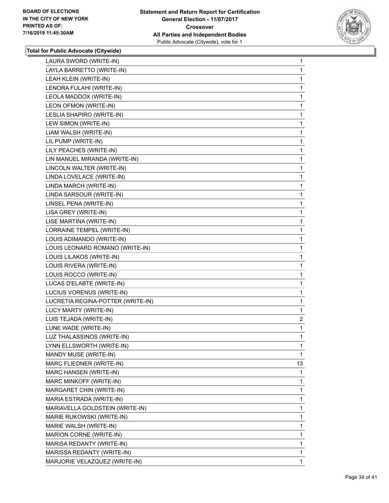

| LAURA SWORD (WRITE-IN)            | 1              |
|-----------------------------------|----------------|
| LAYLA BARRETTO (WRITE-IN)         | 1              |
| LEAH KLEIN (WRITE-IN)             | 1              |
| LENORA FULAHI (WRITE-IN)          | 1              |
| LEOLA MADDOX (WRITE-IN)           | 1              |
| LEON OFMON (WRITE-IN)             | 1              |
| LESLIA SHAPIRO (WRITE-IN)         | 1              |
| LEW SIMON (WRITE-IN)              | 1              |
| LIAM WALSH (WRITE-IN)             | 1              |
| LIL PUMP (WRITE-IN)               | 1              |
| LILY PEACHES (WRITE-IN)           | 1              |
| LIN MANUEL MIRANDA (WRITE-IN)     | 1              |
| LINCOLN WALTER (WRITE-IN)         | 1              |
| LINDA LOVELACE (WRITE-IN)         | 1              |
| LINDA MARCH (WRITE-IN)            | 1              |
| LINDA SARSOUR (WRITE-IN)          | 1              |
| LINSEL PENA (WRITE-IN)            | 1              |
| LISA GREY (WRITE-IN)              | 1              |
| LISE MARTINA (WRITE-IN)           | 1              |
| LORRAINE TEMPEL (WRITE-IN)        | 1              |
| LOUIS ADIMANDO (WRITE-IN)         | 1              |
| LOUIS LEONARD ROMANO (WRITE-IN)   | 1              |
| LOUIS LILAKOS (WRITE-IN)          | 1              |
| LOUIS RIVERA (WRITE-IN)           | 1              |
| LOUIS ROCCO (WRITE-IN)            | 1              |
| LUCAS D'ELABTE (WRITE-IN)         | $\mathbf{1}$   |
| LUCIUS VORENUS (WRITE-IN)         | 1              |
| LUCRETIA REGINA-POTTER (WRITE-IN) | 1              |
| LUCY MARTY (WRITE-IN)             | 1              |
| LUIS TEJADA (WRITE-IN)            | $\overline{2}$ |
| LUNE WADE (WRITE-IN)              | 1              |
| LUZ THALASSINOS (WRITE-IN)        | 1              |
| LYNN ELLSWORTH (WRITE-IN)         | 1              |
| MANDY MUSE (WRITE-IN)             | $\mathbf{1}$   |
| MARC FLIEDNER (WRITE-IN)          | 13             |
| MARC HANSEN (WRITE-IN)            | 1              |
| MARC MINKOFF (WRITE-IN)           | 1              |
| MARGARET CHIN (WRITE-IN)          | 1              |
| MARIA ESTRADA (WRITE-IN)          | 1              |
| MARIAVELLA GOLDSTEIN (WRITE-IN)   | 1              |
| MARIE RUKOWSKI (WRITE-IN)         | 1              |
| MARIE WALSH (WRITE-IN)            | 1              |
| MARION CORNE (WRITE-IN)           | 1              |
| MARISA REDANTY (WRITE-IN)         | 1              |
| MARISSA REDANTY (WRITE-IN)        | 1              |
| MARJORIE VELAZQUEZ (WRITE-IN)     | 1.             |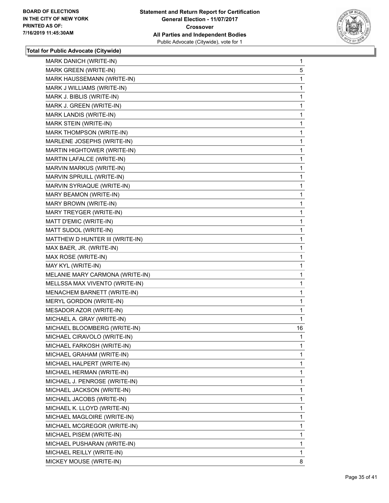

| MARK DANICH (WRITE-IN)          | $\mathbf{1}$ |
|---------------------------------|--------------|
| MARK GREEN (WRITE-IN)           | 5            |
| MARK HAUSSEMANN (WRITE-IN)      | 1            |
| MARK J WILLIAMS (WRITE-IN)      | 1            |
| MARK J. BIBLIS (WRITE-IN)       | 1            |
| MARK J. GREEN (WRITE-IN)        | 1            |
| MARK LANDIS (WRITE-IN)          | 1            |
| MARK STEIN (WRITE-IN)           | 1            |
| MARK THOMPSON (WRITE-IN)        | 1            |
| MARLENE JOSEPHS (WRITE-IN)      | 1            |
| MARTIN HIGHTOWER (WRITE-IN)     | 1            |
| MARTIN LAFALCE (WRITE-IN)       | 1            |
| MARVIN MARKUS (WRITE-IN)        | 1            |
| MARVIN SPRUILL (WRITE-IN)       | 1            |
| MARVIN SYRIAQUE (WRITE-IN)      | 1            |
| MARY BEAMON (WRITE-IN)          | 1            |
| MARY BROWN (WRITE-IN)           | 1            |
| MARY TREYGER (WRITE-IN)         | 1            |
| MATT D'EMIC (WRITE-IN)          | 1            |
| MATT SUDOL (WRITE-IN)           | 1            |
| MATTHEW D HUNTER III (WRITE-IN) | 1            |
| MAX BAER, JR. (WRITE-IN)        | 1            |
| MAX ROSE (WRITE-IN)             | 1            |
| MAY KYL (WRITE-IN)              | 1            |
| MELANIE MARY CARMONA (WRITE-IN) | 1            |
| MELLSSA MAX VIVENTO (WRITE-IN)  | 1            |
| MENACHEM BARNETT (WRITE-IN)     | 1            |
| MERYL GORDON (WRITE-IN)         | 1            |
| MESADOR AZOR (WRITE-IN)         | 1            |
| MICHAEL A. GRAY (WRITE-IN)      | 1            |
| MICHAEL BLOOMBERG (WRITE-IN)    | 16           |
| MICHAEL CIRAVOLO (WRITE-IN)     | 1            |
| MICHAEL FARKOSH (WRITE-IN)      | 1            |
| MICHAEL GRAHAM (WRITE-IN)       | 1            |
| MICHAEL HALPERT (WRITE-IN)      | 1            |
| MICHAEL HERMAN (WRITE-IN)       | 1            |
| MICHAEL J. PENROSE (WRITE-IN)   | 1            |
| MICHAEL JACKSON (WRITE-IN)      | 1            |
| MICHAEL JACOBS (WRITE-IN)       | 1            |
| MICHAEL K. LLOYD (WRITE-IN)     | 1            |
| MICHAEL MAGLOIRE (WRITE-IN)     | 1            |
| MICHAEL MCGREGOR (WRITE-IN)     | 1            |
| MICHAEL PISEM (WRITE-IN)        | 1            |
| MICHAEL PUSHARAN (WRITE-IN)     | 1            |
| MICHAEL REILLY (WRITE-IN)       | 1            |
| MICKEY MOUSE (WRITE-IN)         | 8            |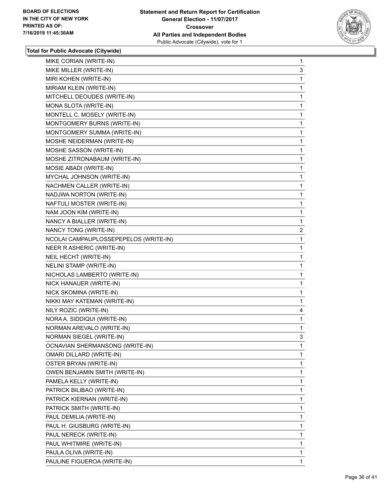

| MIKE CORIAN (WRITE-IN)                | 1              |
|---------------------------------------|----------------|
| MIKE MILLER (WRITE-IN)                | 3              |
| MIRI KOHEN (WRITE-IN)                 | 1              |
| MIRIAM KLEIN (WRITE-IN)               | 1              |
| MITCHELL DEOUDES (WRITE-IN)           | 1              |
| MONA SLOTA (WRITE-IN)                 | 1              |
| MONTELL C. MOSELY (WRITE-IN)          | 1              |
| MONTGOMERY BURNS (WRITE-IN)           | 1              |
| MONTGOMERY SUMMA (WRITE-IN)           | 1              |
| MOSHE NEIDERMAN (WRITE-IN)            | 1              |
| MOSHE SASSON (WRITE-IN)               | 1              |
| MOSHE ZITRONABAUM (WRITE-IN)          | 1              |
| MOSIE ABADI (WRITE-IN)                | 1              |
| MYCHAL JOHNSON (WRITE-IN)             | 1              |
| NACHMEN CALLER (WRITE-IN)             | 1              |
| NADJWA NORTON (WRITE-IN)              | 1              |
| NAFTULI MOSTER (WRITE-IN)             | 1              |
| NAM JOON KIM (WRITE-IN)               | 1              |
| NANCY A BIALLER (WRITE-IN)            | 1              |
| NANCY TONG (WRITE-IN)                 | $\overline{2}$ |
| NCOLAI CAMPAUPLOSSEPEPELOS (WRITE-IN) | 1              |
| NEER R ASHERIC (WRITE-IN)             | 1              |
| NEIL HECHT (WRITE-IN)                 | 1              |
| NELINI STAMP (WRITE-IN)               | 1              |
| NICHOLAS LAMBERTO (WRITE-IN)          | 1              |
| NICK HANAUER (WRITE-IN)               | $\mathbf{1}$   |
| NICK SKOMINA (WRITE-IN)               | 1              |
| NIKKI MAY KATEMAN (WRITE-IN)          | 1              |
| NILY ROZIC (WRITE-IN)                 | 4              |
| NORA A. SIDDIQUI (WRITE-IN)           | 1              |
| NORMAN AREVALO (WRITE-IN)             | 1              |
| <b>NORMAN SIEGEL (WRITE-IN)</b>       | 3              |
| OCNAVIAN SHERMANSONG (WRITE-IN)       | 1              |
| OMARI DILLARD (WRITE-IN)              | 1              |
| OSTER BRYAN (WRITE-IN)                | 1              |
| OWEN BENJAMIN SMITH (WRITE-IN)        | 1              |
| PAMELA KELLY (WRITE-IN)               | 1              |
| PATRICK BILIBAO (WRITE-IN)            | 1              |
| PATRICK KIERNAN (WRITE-IN)            | 1              |
| PATRICK SMITH (WRITE-IN)              | 1              |
| PAUL DEMILIA (WRITE-IN)               | 1              |
| PAUL H. GIUSBURG (WRITE-IN)           | 1              |
| PAUL NERECK (WRITE-IN)                | 1              |
| PAUL WHITMIRE (WRITE-IN)              | 1              |
| PAULA OLIVA (WRITE-IN)                | 1              |
| PAULINE FIGUEROA (WRITE-IN)           | 1              |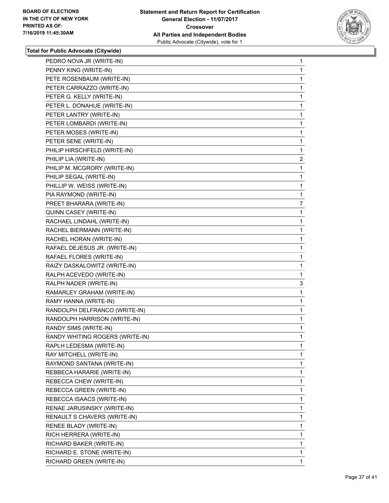

| PEDRO NOVA JR (WRITE-IN)        | $\mathbf{1}$   |
|---------------------------------|----------------|
| PENNY KING (WRITE-IN)           | 1              |
| PETE ROSENBAUM (WRITE-IN)       | 1              |
| PETER CARRAZZO (WRITE-IN)       | 1              |
| PETER G. KELLY (WRITE-IN)       | 1              |
| PETER L. DONAHUE (WRITE-IN)     | 1              |
| PETER LANTRY (WRITE-IN)         | 1              |
| PETER LOMBARDI (WRITE-IN)       | 1              |
| PETER MOSES (WRITE-IN)          | 1              |
| PETER SENE (WRITE-IN)           | 1              |
| PHILIP HIRSCHFELD (WRITE-IN)    | 1              |
| PHILIP LIA (WRITE-IN)           | $\overline{2}$ |
| PHILIP M. MCGRORY (WRITE-IN)    | 1              |
| PHILIP SEGAL (WRITE-IN)         | 1              |
| PHILLIP W. WEISS (WRITE-IN)     | 1              |
| PIA RAYMOND (WRITE-IN)          | 1              |
| PREET BHARARA (WRITE-IN)        | 7              |
| QUINN CASEY (WRITE-IN)          | 1              |
| RACHAEL LINDAHL (WRITE-IN)      | 1              |
| RACHEL BIERMANN (WRITE-IN)      | 1              |
| RACHEL HORAN (WRITE-IN)         | 1              |
| RAFAEL DEJESUS JR. (WRITE-IN)   | 1              |
| RAFAEL FLORES (WRITE-IN)        | 1              |
| RAIZY DASKALOWITZ (WRITE-IN)    | 1              |
| RALPH ACEVEDO (WRITE-IN)        | 1              |
| RALPH NADER (WRITE-IN)          | 3              |
| RAMARLEY GRAHAM (WRITE-IN)      | 1              |
| RAMY HANNA (WRITE-IN)           | 1              |
| RANDOLPH DELFRANCO (WRITE-IN)   | 1              |
| RANDOLPH HARRISON (WRITE-IN)    | 1              |
| RANDY SIMS (WRITE-IN)           | 1              |
| RANDY WHITING ROGERS (WRITE-IN) | 1              |
| RAPLH LEDESMA (WRITE-IN)        | 1              |
| RAY MITCHELL (WRITE-IN)         | $\mathbf{1}$   |
| RAYMOND SANTANA (WRITE-IN)      | 1              |
| REBBECA HARARIE (WRITE-IN)      | 1              |
| REBECCA CHEW (WRITE-IN)         | 1              |
| REBECCA GREEN (WRITE-IN)        | 1              |
| REBECCA ISAACS (WRITE-IN)       | 1              |
| RENAE JARUSINSKY (WRITE-IN)     | 1              |
| RENAULT S CHAVERS (WRITE-IN)    | 1              |
| RENEE BLADY (WRITE-IN)          | 1              |
| RICH HERRERA (WRITE-IN)         | 1              |
| RICHARD BAKER (WRITE-IN)        | 1              |
| RICHARD E. STONE (WRITE-IN)     | 1              |
| RICHARD GREEN (WRITE-IN)        | $\mathbf 1$    |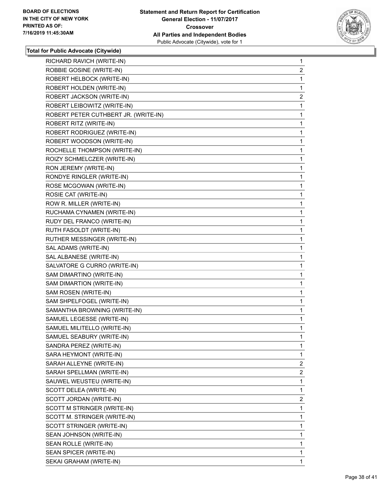

| RICHARD RAVICH (WRITE-IN)            | $\mathbf{1}$   |
|--------------------------------------|----------------|
| ROBBIE GOSINE (WRITE-IN)             | $\overline{2}$ |
| ROBERT HELBOCK (WRITE-IN)            | 1              |
| ROBERT HOLDEN (WRITE-IN)             | 1              |
| ROBERT JACKSON (WRITE-IN)            | $\overline{2}$ |
| ROBERT LEIBOWITZ (WRITE-IN)          | 1              |
| ROBERT PETER CUTHBERT JR. (WRITE-IN) | 1              |
| ROBERT RITZ (WRITE-IN)               | 1              |
| ROBERT RODRIGUEZ (WRITE-IN)          | 1              |
| ROBERT WOODSON (WRITE-IN)            | 1              |
| ROCHELLE THOMPSON (WRITE-IN)         | 1              |
| ROIZY SCHMELCZER (WRITE-IN)          | 1              |
| RON JEREMY (WRITE-IN)                | 1              |
| RONDYE RINGLER (WRITE-IN)            | 1              |
| ROSE MCGOWAN (WRITE-IN)              | 1              |
| ROSIE CAT (WRITE-IN)                 | 1              |
| ROW R. MILLER (WRITE-IN)             | 1              |
| RUCHAMA CYNAMEN (WRITE-IN)           | 1              |
| RUDY DEL FRANCO (WRITE-IN)           | 1              |
| RUTH FASOLDT (WRITE-IN)              | 1              |
| RUTHER MESSINGER (WRITE-IN)          | 1              |
| SAL ADAMS (WRITE-IN)                 | 1              |
| SAL ALBANESE (WRITE-IN)              | 1              |
| SALVATORE G CURRO (WRITE-IN)         | 1              |
| SAM DIMARTINO (WRITE-IN)             | 1              |
| SAM DIMARTION (WRITE-IN)             | 1              |
| SAM ROSEN (WRITE-IN)                 | 1              |
| SAM SHPELFOGEL (WRITE-IN)            | 1              |
| SAMANTHA BROWNING (WRITE-IN)         | 1              |
| SAMUEL LEGESSE (WRITE-IN)            | 1              |
| SAMUEL MILITELLO (WRITE-IN)          | 1              |
| SAMUEL SEABURY (WRITE-IN)            | $\mathbf{1}$   |
| SANDRA PEREZ (WRITE-IN)              | 1              |
| SARA HEYMONT (WRITE-IN)              | 1              |
| SARAH ALLEYNE (WRITE-IN)             | $\overline{2}$ |
| SARAH SPELLMAN (WRITE-IN)            | $\overline{2}$ |
| SAUWEL WEUSTEU (WRITE-IN)            | 1              |
| SCOTT DELEA (WRITE-IN)               | 1              |
| SCOTT JORDAN (WRITE-IN)              | $\overline{2}$ |
| SCOTT M STRINGER (WRITE-IN)          | 1              |
| SCOTT M. STRINGER (WRITE-IN)         | 1              |
| SCOTT STRINGER (WRITE-IN)            | 1              |
| SEAN JOHNSON (WRITE-IN)              | 1              |
| SEAN ROLLE (WRITE-IN)                | 1              |
| SEAN SPICER (WRITE-IN)               | 1              |
| SEKAI GRAHAM (WRITE-IN)              | 1              |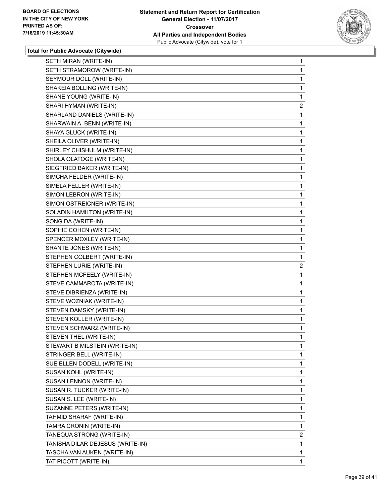

| SETH MIRAN (WRITE-IN)            | 1              |
|----------------------------------|----------------|
| SETH STRAMOROW (WRITE-IN)        | 1              |
| SEYMOUR DOLL (WRITE-IN)          | 1              |
| SHAKEIA BOLLING (WRITE-IN)       | 1              |
| SHANE YOUNG (WRITE-IN)           | 1              |
| SHARI HYMAN (WRITE-IN)           | $\overline{c}$ |
| SHARLAND DANIELS (WRITE-IN)      | 1              |
| SHARWAIN A. BENN (WRITE-IN)      | 1              |
| SHAYA GLUCK (WRITE-IN)           | 1              |
| SHEILA OLIVER (WRITE-IN)         | 1              |
| SHIRLEY CHISHULM (WRITE-IN)      | 1              |
| SHOLA OLATOGE (WRITE-IN)         | 1              |
| SIEGFRIED BAKER (WRITE-IN)       | 1              |
| SIMCHA FELDER (WRITE-IN)         | 1              |
| SIMELA FELLER (WRITE-IN)         | 1              |
| SIMON LEBRON (WRITE-IN)          | 1              |
| SIMON OSTREICNER (WRITE-IN)      | 1              |
| SOLADIN HAMILTON (WRITE-IN)      | 1              |
| SONG DA (WRITE-IN)               | 1              |
| SOPHIE COHEN (WRITE-IN)          | 1              |
| SPENCER MOXLEY (WRITE-IN)        | 1              |
| SRANTE JONES (WRITE-IN)          | 1              |
| STEPHEN COLBERT (WRITE-IN)       | 1              |
|                                  |                |
| STEPHEN LURIE (WRITE-IN)         | $\overline{c}$ |
| STEPHEN MCFEELY (WRITE-IN)       | 1              |
| STEVE CAMMAROTA (WRITE-IN)       | 1              |
| STEVE DIBRIENZA (WRITE-IN)       | 1              |
| STEVE WOZNIAK (WRITE-IN)         | 1              |
| STEVEN DAMSKY (WRITE-IN)         | 1              |
| STEVEN KOLLER (WRITE-IN)         | 1              |
| STEVEN SCHWARZ (WRITE-IN)        | 1              |
| STEVEN THEL (WRITE-IN)           | 1              |
| STEWART B MILSTEIN (WRITE-IN)    | 1              |
| STRINGER BELL (WRITE-IN)         | 1              |
| SUE ELLEN DODELL (WRITE-IN)      | 1              |
| SUSAN KOHL (WRITE-IN)            | 1              |
| SUSAN LENNON (WRITE-IN)          | 1              |
| SUSAN R. TUCKER (WRITE-IN)       | 1              |
| SUSAN S. LEE (WRITE-IN)          | 1              |
| SUZANNE PETERS (WRITE-IN)        | 1              |
| TAHMID SHARAF (WRITE-IN)         | 1              |
| TAMRA CRONIN (WRITE-IN)          | 1              |
| TANEQUA STRONG (WRITE-IN)        | $\overline{2}$ |
| TANISHA DILAR DEJESUS (WRITE-IN) | 1              |
| TASCHA VAN AUKEN (WRITE-IN)      | 1              |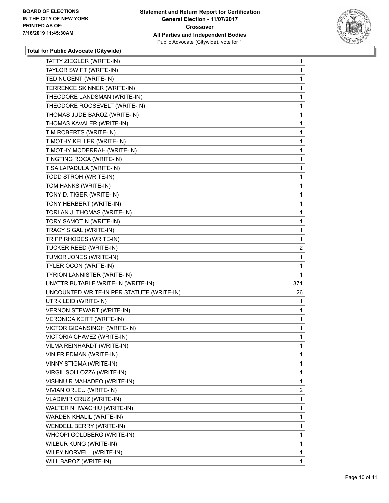

| TATTY ZIEGLER (WRITE-IN)                  | 1              |
|-------------------------------------------|----------------|
| TAYLOR SWIFT (WRITE-IN)                   | 1              |
| TED NUGENT (WRITE-IN)                     | 1              |
| TERRENCE SKINNER (WRITE-IN)               | 1              |
| THEODORE LANDSMAN (WRITE-IN)              | 1              |
| THEODORE ROOSEVELT (WRITE-IN)             | 1              |
| THOMAS JUDE BAROZ (WRITE-IN)              | 1              |
| THOMAS KAVALER (WRITE-IN)                 | $\mathbf{1}$   |
| TIM ROBERTS (WRITE-IN)                    | 1              |
| TIMOTHY KELLER (WRITE-IN)                 | 1              |
| TIMOTHY MCDERRAH (WRITE-IN)               | 1              |
| TINGTING ROCA (WRITE-IN)                  | 1              |
| TISA LAPADULA (WRITE-IN)                  | 1              |
| TODD STROH (WRITE-IN)                     | $\mathbf{1}$   |
| TOM HANKS (WRITE-IN)                      | 1              |
| TONY D. TIGER (WRITE-IN)                  | 1              |
| TONY HERBERT (WRITE-IN)                   | 1              |
| TORLAN J. THOMAS (WRITE-IN)               | 1              |
| TORY SAMOTIN (WRITE-IN)                   | 1              |
| TRACY SIGAL (WRITE-IN)                    | $\mathbf{1}$   |
| TRIPP RHODES (WRITE-IN)                   | 1              |
| TUCKER REED (WRITE-IN)                    | $\overline{a}$ |
| TUMOR JONES (WRITE-IN)                    | 1              |
| TYLER OCON (WRITE-IN)                     | 1              |
| TYRION LANNISTER (WRITE-IN)               | 1              |
| UNATTRIBUTABLE WRITE-IN (WRITE-IN)        | 371            |
| UNCOUNTED WRITE-IN PER STATUTE (WRITE-IN) | 26             |
| UTRK LEID (WRITE-IN)                      | 1              |
| <b>VERNON STEWART (WRITE-IN)</b>          | 1              |
| <b>VERONICA KEITT (WRITE-IN)</b>          | $\mathbf{1}$   |
| VICTOR GIDANSINGH (WRITE-IN)              | 1              |
| VICTORIA CHAVEZ (WRITE-IN)                | 1              |
| VILMA REINHARDT (WRITE-IN)                | 1              |
| VIN FRIEDMAN (WRITE-IN)                   | 1              |
| VINNY STIGMA (WRITE-IN)                   | 1              |
| VIRGIL SOLLOZZA (WRITE-IN)                | 1              |
| VISHNU R MAHADEO (WRITE-IN)               | 1              |
| VIVIAN ORLEU (WRITE-IN)                   | 2              |
| VLADIMIR CRUZ (WRITE-IN)                  | 1              |
| WALTER N. IWACHIU (WRITE-IN)              | 1              |
| WARDEN KHALIL (WRITE-IN)                  | 1              |
| WENDELL BERRY (WRITE-IN)                  | 1              |
| WHOOPI GOLDBERG (WRITE-IN)                | 1              |
| WILBUR KUNG (WRITE-IN)                    | 1              |
| WILEY NORVELL (WRITE-IN)                  | 1              |
| WILL BAROZ (WRITE-IN)                     | 1              |
|                                           |                |